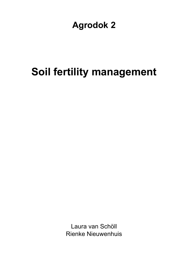## **Agrodok 2**

# **Soil fertility management**

Laura van Schöll Rienke Nieuwenhuis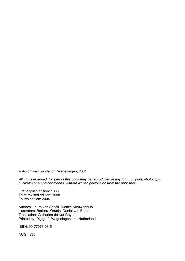© Agromisa Foundation, Wageningen, 2004.

*All rights reserved. No part of this book may be reproduced in any form, by print, photocopy, microfilm or any other means, without written permission from the publisher.* 

First english edition: 1986 Third revised edition: 1998 Fourth edition: 2004

Authors: Laura van Schöll, Rienke Nieuwenhuis Illustrators: Barbera Oranje, Daniel van Buren Translation: Catharina de Kat-Reynen Printed by: Digigrafi, Wageningen, the Netherlands

ISBN: 90-77073-03-5

NUGI: 835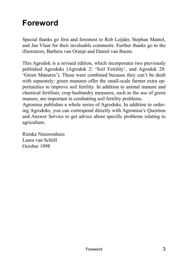## **Foreword**

Special thanks go first and foremost to Rob Leijder, Stephan Mantel, and Jan Vlaar for their invaluable comments. Further thanks go to the illustrators, Barbera van Oranje and Daniel van Buren.

This Agrodok is a revised edition, which incorporates two previously published Agrodoks (Agrodok 2: 'Soil Fertility', and Agrodok 28: 'Green Manures'). These were combined because they can't be dealt with separately: green manures offer the small-scale farmer extra opportunities to improve soil fertility. In addition to animal manure and chemical fertiliser, crop husbandry measures, such as the use of green manure, are important in combatting soil fertility problems.

Agromisa publishes a whole series of Agrodoks. In addition to ordering Agrodoks, you can correspond directly with Agromisa's Ouestion and Answer Service to get advice about specific problems relating to agriculture.

Rienke Nieuwenhuis Laura van Schöll October 1998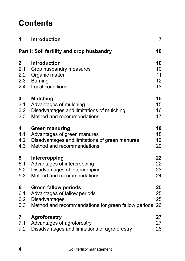## **Contents**

| 1   | <b>Introduction</b>                                 | $\overline{7}$ |  |  |
|-----|-----------------------------------------------------|----------------|--|--|
|     | 10<br>Part I: Soil fertility and crop husbandry     |                |  |  |
| 2   | <b>Introduction</b>                                 | 10             |  |  |
| 2.1 | Crop husbandry measures                             | 10             |  |  |
| 2.2 | Organic matter                                      | 11             |  |  |
| 2.3 | <b>Burning</b>                                      | 12             |  |  |
| 2.4 | Local conditions                                    | 13             |  |  |
| 3   | <b>Mulching</b>                                     | 15             |  |  |
| 3.1 | Advantages of mulching                              | 15             |  |  |
| 3.2 | Disadvantages and limitations of mulching           | 16             |  |  |
| 3.3 | Method and recommendations                          | 17             |  |  |
| 4   | <b>Green manuring</b>                               | 18             |  |  |
| 4.1 | Advantages of green manures                         | 18             |  |  |
| 4.2 | Disadvantages and limitations of green manures      | 19             |  |  |
| 4.3 | Method and recommendations                          | 20             |  |  |
| 5   | Intercropping                                       | 22             |  |  |
| 5.1 | Advantages of intercropping                         | 22             |  |  |
| 5.2 | Disadvantages of intercropping                      | 23             |  |  |
| 5.3 | Method and recommendations                          | 24             |  |  |
| 6   | <b>Green fallow periods</b>                         | 25             |  |  |
| 6.1 | Advantages of fallow periods                        | 25             |  |  |
| 6.2 | Disadvantages                                       | 25             |  |  |
| 6.3 | Method and recommendations for green fallow periods | 26             |  |  |
| 7   | <b>Agroforestry</b>                                 | 27             |  |  |
| 7.1 | Advantages of agroforestry                          | 27             |  |  |
| 7.2 | Disadvantages and limitations of agroforestry       | 28             |  |  |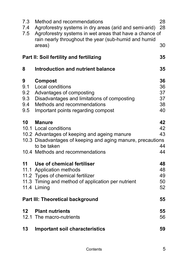| 7.3<br>7.4<br>7.5                    | Method and recommendations<br>Agroforestry systems in dry areas (arid and semi-arid)<br>Agroforestry systems in wet areas that have a chance of<br>rain nearly throughout the year (sub-humid and humid  | 28<br>28                         |  |  |
|--------------------------------------|----------------------------------------------------------------------------------------------------------------------------------------------------------------------------------------------------------|----------------------------------|--|--|
|                                      | areas)                                                                                                                                                                                                   | 30                               |  |  |
|                                      | Part II: Soil fertility and fertilizing                                                                                                                                                                  |                                  |  |  |
| 8                                    | Introduction and nutrient balance                                                                                                                                                                        | 35                               |  |  |
| 9<br>9.1<br>9.2<br>9.3<br>9.4<br>9.5 | Compost<br>Local conditions<br>Advantages of composting<br>Disadvantages and limitations of composting<br>Methods and recommendations<br>Important points regarding compost                              | 36<br>36<br>37<br>37<br>38<br>40 |  |  |
| 10                                   | <b>Manure</b><br>10.1 Local conditions<br>10.2 Advantages of keeping and ageing manure<br>10.3 Disadvantages of keeping and aging manure, precautions<br>to be taken<br>10.4 Methods and recommendations | 42<br>42<br>43<br>44<br>44       |  |  |
| 11                                   | Use of chemical fertiliser<br>11.1 Application methods<br>11.2 Types of chemical fertilizer<br>11.3 Timing and method of application per nutrient<br>11.4 Liming                                         | 48<br>48<br>49<br>50<br>52       |  |  |
|                                      | Part III: Theoretical background<br>55                                                                                                                                                                   |                                  |  |  |
| 12                                   | <b>Plant nutrients</b><br>12.1 The macro-nutrients                                                                                                                                                       | 55<br>56                         |  |  |
| 13                                   | <b>Important soil characteristics</b>                                                                                                                                                                    | 59                               |  |  |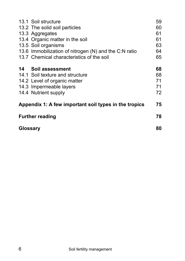|                                                       | 13.1 Soil structure                                   | 59 |
|-------------------------------------------------------|-------------------------------------------------------|----|
|                                                       | 13.2 The solid soil particles                         | 60 |
|                                                       | 13.3 Aggregates                                       | 61 |
|                                                       | 13.4 Organic matter in the soil                       | 61 |
|                                                       | 13.5 Soil organisms                                   | 63 |
|                                                       | 13.6 Immobilization of nitrogen (N) and the C:N ratio | 64 |
|                                                       | 13.7 Chemical characteristics of the soil             | 65 |
|                                                       | 14 Soil assessment                                    | 68 |
|                                                       | 14.1 Soil texture and structure                       | 68 |
|                                                       | 14.2 Level of organic matter                          | 71 |
|                                                       | 14.3 Impermeable layers                               | 71 |
|                                                       | 14.4 Nutrient supply                                  | 72 |
| Appendix 1: A few important soil types in the tropics |                                                       |    |
| <b>Further reading</b>                                |                                                       | 78 |
| Glossary                                              |                                                       | 80 |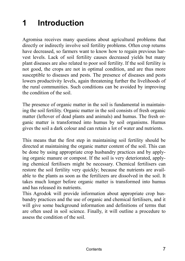# **1 Introduction**

Agromisa receives many questions about agricultural problems that directly or indirectly involve soil fertility problems. Often crop returns have decreased, so farmers want to know how to regain previous harvest levels. Lack of soil fertility causes decreased yields but many plant diseases are also related to poor soil fertility. If the soil fertility is not good, the crops are not in optimal condition, and are thus more susceptible to diseases and pests. The presence of diseases and pests lowers productivity levels, again threatening further the livelihoods of the rural communities. Such conditions can be avoided by improving the condition of the soil.

The presence of organic matter in the soil is fundamental in maintaining the soil fertility. Organic matter in the soil consists of fresh organic matter (leftover of dead plants and animals) and humus. The fresh organic matter is transformed into humus by soil organisms. Humus gives the soil a dark colour and can retain a lot of water and nutrients.

This means that the first step in maintaining soil fertility should be directed at maintaining the organic matter content of the soil. This can be done by using appropriate crop husbandry practices and by applying organic manure or compost. If the soil is very deteriorated, applying chemical fertilisers might be necessary. Chemical fertilisers can restore the soil fertility very quickly; because the nutrients are available to the plants as soon as the fertilizers are dissolved in the soil. It takes much longer before organic matter is transformed into humus and has released its nutrients.

This Agrodok will provide information about appropriate crop husbandry practices and the use of organic and chemical fertilisers, and it will give some background information and definitions of terms that are often used in soil science. Finally, it will outline a procedure to assess the condition of the soil.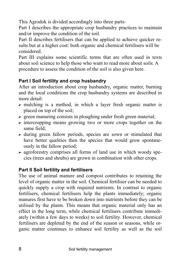This Agrodok is divided accordingly into three parts:

Part I describes the appropriate crop husbandry practices to maintain and/or improve the condition of the soil.

Part II describes fertilisers that can be applied to achieve quicker results but at a higher cost: both organic and chemical fertilisers will be considered.

Part III explains some scientific terms that are often used in texts about soil science to help those who want to read more about soils. A procedure to assess the condition of the soil is also given here.

#### **Part I Soil fertility and crop husbandry**

After an introduction about crop husbandry, organic matter, burning and the local conditions the crop husbandry systems are described in more detail:

- $\triangleright$  mulching is a method, in which a layer fresh organic matter is placed on top of the soil;
- $\triangleright$  green manuring consists in ploughing under fresh green material;
- $\triangleright$  intercropping means growing two or more crops together on the same field;
- $\triangleright$  during green fallow periods, species are sown or stimulated that have better qualities then the species that would grow spontaneously in the fallow period;
- $\triangleright$  agroforestry comprises all forms of land use in which woody species (trees and shrubs) are grown in combination with other crops.

#### **Part II Soil fertility and fertilisers**

The use of animal manure and compost contributes to retaining the level of organic matter in the soil. Chemical fertiliser can be needed to quickly supply a crop with required nutrients. In contrast to organic fertilisers, chemical fertilisers help the plants immediately; organic manures first have to be broken down into nutrients before they can be utilised by the plants. This means that organic material only has an effect in the long term, while chemical fertilisers contribute immediately (within a few days to weeks) to soil fertility. However, chemical fertilisers are depleted by the end of the season or seasons, while organic matter continues to enhance soil fertility as well as the soil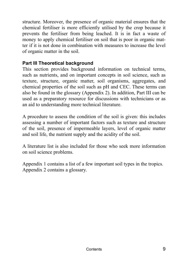structure. Moreover, the presence of organic material ensures that the chemical fertiliser is more efficiently utilised by the crop because it prevents the fertiliser from being leached. It is in fact a waste of money to apply chemical fertiliser on soil that is poor in organic matter if it is not done in combination with measures to increase the level of organic matter in the soil.

#### **Part III Theoretical background**

This section provides background information on technical terms, such as nutrients, and on important concepts in soil science, such as texture, structure, organic matter, soil organisms, aggregates, and chemical properties of the soil such as pH and CEC. These terms can also be found in the glossary (Appendix 2). In addition, Part III can be used as a preparatory resource for discussions with technicians or as an aid to understanding more technical literature.

A procedure to assess the condition of the soil is given: this includes assessing a number of important factors such as texture and structure of the soil, presence of impermeable layers, level of organic matter and soil life, the nutrient supply and the acidity of the soil.

A literature list is also included for those who seek more information on soil science problems.

Appendix 1 contains a list of a few important soil types in the tropics. Appendix 2 contains a glossary.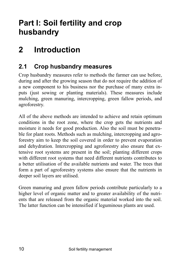## **Part I: Soil fertility and crop husbandry**

## **2 Introduction**

## **2.1 Crop husbandry measures**

Crop husbandry measures refer to methods the farmer can use before, during and after the growing season that do not require the addition of a new component to his business nor the purchase of many extra inputs (just sowing or planting materials). These measures include mulching, green manuring, intercropping, green fallow periods, and agroforestry.

All of the above methods are intended to achieve and retain optimum conditions in the root zone, where the crop gets the nutrients and moisture it needs for good production. Also the soil must be penetrable for plant roots. Methods such as mulching, intercropping and agroforestry aim to keep the soil covered in order to prevent evaporation and dehydration. Intercropping and agroforestry also ensure that extensive root systems are present in the soil; planting different crops with different root systems that need different nutrients contributes to a better utilisation of the available nutrients and water. The trees that form a part of agroforestry systems also ensure that the nutrients in deeper soil layers are utilised.

Green manuring and green fallow periods contribute particularly to a higher level of organic matter and to greater availability of the nutrients that are released from the organic material worked into the soil. The latter function can be intensified if leguminous plants are used.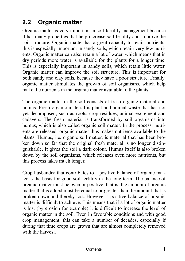## **2.2 Organic matter**

Organic matter is very important in soil fertility management because it has many properties that help increase soil fertility and improve the soil structure. Organic matter has a great capacity to retain nutrients; this is especially important in sandy soils, which retain very few nutrients. Organic matter can also retain a lot of water, which means that in dry periods more water is available for the plants for a longer time. This is especially important in sandy soils, which retain little water. Organic matter can improve the soil structure. This is important for both sandy and clay soils, because they have a poor structure. Finally, organic matter stimulates the growth of soil organisms, which help make the nutrients in the organic matter available to the plants.

The organic matter in the soil consists of fresh organic material and humus. Fresh organic material is plant and animal waste that has not yet decomposed, such as roots, crop residues, animal excrement and cadavers. The fresh material is transformed by soil organisms into humus, which is also called organic soil matter. In the process, nutrients are released; organic matter thus makes nutrients available to the plants. Humus, i.e. organic soil matter, is material that has been broken down so far that the original fresh material is no longer distinguishable. It gives the soil a dark colour. Humus itself is also broken down by the soil organisms, which releases even more nutrients, but this process takes much longer.

Crop husbandry that contributes to a positive balance of organic matter is the basis for good soil fertility in the long term. The balance of organic matter must be even or positive, that is, the amount of organic matter that is added must be equal to or greater than the amount that is broken down and thereby lost. However a positive balance of organic matter is difficult to achieve. This means that if a lot of organic matter is lost (by erosion for example) it is difficult to increase the level of organic matter in the soil. Even in favorable conditions and with good crop management, this can take a number of decades, especially if during that time crops are grown that are almost completely removed with the harvest.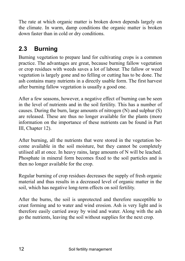The rate at which organic matter is broken down depends largely on the climate. In warm, damp conditions the organic matter is broken down faster than in cold or dry conditions.

## **2.3 Burning**

Burning vegetation to prepare land for cultivating crops is a common practice. The advantages are great, because burning fallow vegetation or crop residues with weeds saves a lot of labour. The fallow or weed vegetation is largely gone and no felling or cutting has to be done. The ash contains many nutrients in a directly usable form. The first harvest after burning fallow vegetation is usually a good one.

After a few seasons, however, a negative effect of burning can be seen in the level of nutrients and in the soil fertility. This has a number of causes. During the burn, large amounts of nitrogen (N) and sulphur (S) are released. These are thus no longer available for the plants (more information on the importance of these nutrients can be found in Part III, Chapter 12).

After burning, all the nutrients that were stored in the vegetation become available in the soil moisture, but they cannot be completely utilised all at once. In heavy rains, large amounts of N will be leached. Phosphate in mineral form becomes fixed to the soil particles and is then no longer available for the crop.

Regular burning of crop residues decreases the supply of fresh organic material and thus results in a decreased level of organic matter in the soil, which has negative long-term effects on soil fertility.

After the burns, the soil is unprotected and therefore susceptible to crust forming and to water and wind erosion. Ash is very light and is therefore easily carried away by wind and water. Along with the ash go the nutrients, leaving the soil without supplies for the next crop.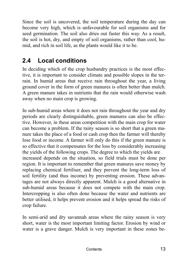Since the soil is uncovered, the soil temperature during the day can become very high, which is unfavourable for soil organisms and for seed germination. The soil also dries out faster this way. As a result, the soil is hot, dry, and empty of soil organisms, rather than cool, humid, and rich in soil life, as the plants would like it to be.

### **2.4 Local conditions**

In deciding which of the crop husbandry practices is the most effective, it is important to consider climate and possible slopes in the terrain. In humid areas that receive rain throughout the year, a living ground cover in the form of green manures is often better than mulch. A green manure takes in nutrients that the rain would otherwise wash away when no main crop is growing.

In sub-humid areas where it does not rain throughout the year and dry periods are clearly distinguishable, green manures can also be effective. However, in these areas competition with the main crop for water can become a problem. If the rainy season is so short that a green manure takes the place of a food or cash crop then the farmer will thereby lose food or income. A farmer will only do this if the green manure is so effective that it compensates for the loss by considerably increasing the yields of the following crops. The degree to which the yields are increased depends on the situation, so field trials must be done per region. It is important to remember that green manures save money by replacing chemical fertiliser, and they prevent the long-term loss of soil fertility (and thus income) by preventing erosion. These advantages are not always directly apparent. Mulch is a good alternative in sub-humid areas because it does not compete with the main crop. Intercropping is also often done because the water and nutrients are better utilised, it helps prevent erosion and it helps spread the risks of crop failure.

In semi-arid and dry savannah areas where the rainy season is very short, water is the most important limiting factor. Erosion by wind or water is a grave danger. Mulch is very important in these zones be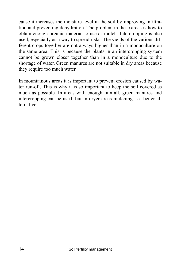cause it increases the moisture level in the soil by improving infiltration and preventing dehydration. The problem in these areas is how to obtain enough organic material to use as mulch. Intercropping is also used, especially as a way to spread risks. The yields of the various different crops together are not always higher than in a monoculture on the same area. This is because the plants in an intercropping system cannot be grown closer together than in a monoculture due to the shortage of water. Green manures are not suitable in dry areas because they require too much water.

In mountainous areas it is important to prevent erosion caused by water run-off. This is why it is so important to keep the soil covered as much as possible. In areas with enough rainfall, green manures and intercropping can be used, but in dryer areas mulching is a better alternative.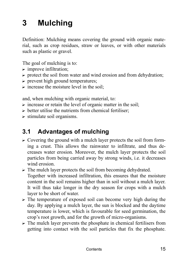# **3 Mulching**

Definition: Mulching means covering the ground with organic material, such as crop residues, straw or leaves, or with other materials such as plastic or gravel.

The goal of mulching is to:

- $\triangleright$  improve infiltration;
- $\triangleright$  protect the soil from water and wind erosion and from dehydration;
- $\triangleright$  prevent high ground temperatures;
- $\triangleright$  increase the moisture level in the soil:

and, when mulching with organic material, to:

- $\triangleright$  increase or retain the level of organic matter in the soil;
- $\triangleright$  better utilise the nutrients from chemical fertiliser;
- $\triangleright$  stimulate soil organisms.

### **3.1 Advantages of mulching**

- $\triangleright$  Covering the ground with a mulch layer protects the soil from forming a crust. This allows the rainwater to infiltrate*,* and thus decreases water erosion. Moreover, the mulch layer protects the soil particles from being carried away by strong winds, i.e. it decreases wind erosion
- $\triangleright$  The mulch layer protects the soil from becoming dehydrated. Together with increased infiltration, this ensures that the moisture content in the soil remains higher than in soil without a mulch layer.

It will thus take longer in the dry season for crops with a mulch layer to be short of water.

- $\triangleright$  The temperature of exposed soil can become very high during the day. By applying a mulch layer, the sun is blocked and the daytime temperature is lower, which is favourable for seed germination, the crop's root growth, and for the growth of micro-organisms.
- $\triangleright$  The mulch layer prevents the phosphate in chemical fertilisers from getting into contact with the soil particles that fix the phosphate.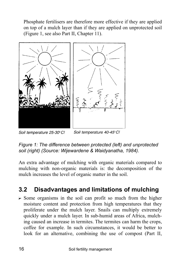Phosphate fertilisers are therefore more effective if they are applied on top of a mulch layer than if they are applied on unprotected soil (Figure 1, see also Part II, Chapter 11).



Soil temperature 25-30°C! Soil temperature 40-45°C!

*Figure 1: The difference between protected (left) and unprotected soil (right) (Source: Wijewardene & Waidyanatha, 1984).* 

An extra advantage of mulching with organic materials compared to mulching with non-organic materials is: the decomposition of the mulch increases the level of organic matter in the soil.

## **3.2 Disadvantages and limitations of mulching**

 $\triangleright$  Some organisms in the soil can profit so much from the higher moisture content and protection from high temperatures that they proliferate under the mulch layer. Snails can multiply extremely quickly under a mulch layer. In sub-humid areas of Africa, mulching caused an increase in termites. The termites can harm the crops, coffee for example. In such circumstances, it would be better to look for an alternative, combining the use of compost (Part II,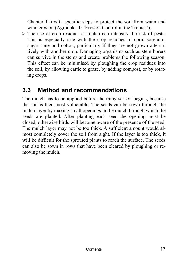Chapter 11) with specific steps to protect the soil from water and wind erosion (Agrodok 11: 'Erosion Control in the Tropics').

 $\triangleright$  The use of crop residues as mulch can intensify the risk of pests. This is especially true with the crop residues of corn, sorghum, sugar cane and cotton, particularly if they are not grown alternatively with another crop. Damaging organisms such as stem borers can survive in the stems and create problems the following season. This effect can be minimised by ploughing the crop residues into the soil, by allowing cattle to graze, by adding compost, or by rotating crops.

#### **3.3 Method and recommendations**

The mulch has to be applied before the rainy season begins, because the soil is then most vulnerable. The seeds can be sown through the mulch layer by making small openings in the mulch through which the seeds are planted. After planting each seed the opening must be closed, otherwise birds will become aware of the presence of the seed. The mulch layer may not be too thick. A sufficient amount would almost completely cover the soil from sight. If the layer is too thick, it will be difficult for the sprouted plants to reach the surface. The seeds can also be sown in rows that have been cleared by ploughing or removing the mulch.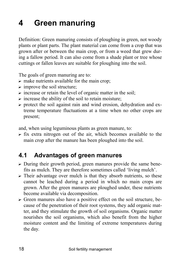# **4 Green manuring**

Definition: Green manuring consists of ploughing in green, not woody plants or plant parts. The plant material can come from a crop that was grown after or between the main crop, or from a weed that grew during a fallow period. It can also come from a shade plant or tree whose cuttings or fallen leaves are suitable for ploughing into the soil.

The goals of green manuring are to:

- $\triangleright$  make nutrients available for the main crop;
- $\triangleright$  improve the soil structure;
- $\triangleright$  increase or retain the level of organic matter in the soil;
- $\triangleright$  increase the ability of the soil to retain moisture;
- $\triangleright$  protect the soil against rain and wind erosion, dehydration and extreme temperature fluctuations at a time when no other crops are present;

and, when using leguminous plants as green manure, to:

 $\triangleright$  fix extra nitrogen out of the air, which becomes available to the main crop after the manure has been ploughed into the soil.

### **4.1 Advantages of green manures**

- $\triangleright$  During their growth period, green manures provide the same benefits as mulch. They are therefore sometimes called 'living mulch'.
- $\triangleright$  Their advantage over mulch is that they absorb nutrients, so these cannot be leached during a period in which no main crops are grown. After the green manures are ploughed under, these nutrients become available via decomposition.
- $\triangleright$  Green manures also have a positive effect on the soil structure, because of the penetration of their root systems, they add organic matter, and they stimulate the growth of soil organisms. Organic matter nourishes the soil organisms, which also benefit from the higher moisture content and the limiting of extreme temperatures during the day.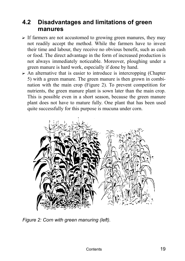#### **4.2 Disadvantages and limitations of green manures**

- $\triangleright$  If farmers are not accustomed to growing green manures, they may not readily accept the method. While the farmers have to invest their time and labour, they receive no obvious benefit, such as cash or food. The direct advantage in the form of increased production is not always immediately noticeable. Moreover, ploughing under a green manure is hard work, especially if done by hand.
- $\triangleright$  An alternative that is easier to introduce is intercropping (Chapter 5) with a green manure. The green manure is then grown in combination with the main crop (Figure 2). To prevent competition for nutrients, the green manure plant is sown later than the main crop. This is possible even in a short season, because the green manure plant does not have to mature fully. One plant that has been used quite successfully for this purpose is mucuna under corn.



*Figure 2: Corn with green manuring (left).*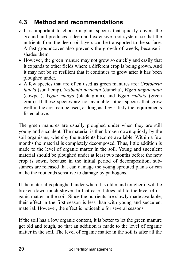### **4.3 Method and recommendations**

- $\triangleright$  It is important to choose a plant species that quickly covers the ground and produces a deep and extensive root system, so that the nutrients from the deep soil layers can be transported to the surface. A fast groundcover also prevents the growth of weeds, because it shades them.
- $\triangleright$  However, the green manure may not grow so quickly and easily that it expands to other fields where a different crop is being grown. And it may not be so resilient that it continues to grow after it has been ploughed under.
- ? A few species that are often used as green manures are: *Crotolaria juncia* (sun hemp), *Sesbania aculeata* (daincha), *Vigna unguiculata* (cowpea), *Vigna mungo* (black gram), and *Vigna radiata* (green gram). If these species are not available, other species that grow well in the area can be used, as long as they satisfy the requirements listed above.

The green manures are usually ploughed under when they are still young and succulent. The material is then broken down quickly by the soil organisms, whereby the nutrients become available. Within a few months the material is completely decomposed. Thus, little addition is made to the level of organic matter in the soil. Young and succulent material should be ploughed under at least two months before the new crop is sown, because in the initial period of decomposition, substances are released that can damage the young sprouted plants or can make the root ends sensitive to damage by pathogens.

If the material is ploughed under when it is older and tougher it will be broken down much slower. In that case it does add to the level of organic matter in the soil. Since the nutrients are slowly made available, their effect in the first season is less than with young and succulent material. However, the effect is noticeable for several seasons.

If the soil has a low organic content, it is better to let the green manure get old and tough, so that an addition is made to the level of organic matter in the soil. The level of organic matter in the soil is after all the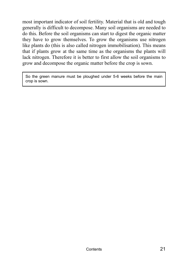most important indicator of soil fertility. Material that is old and tough generally is difficult to decompose. Many soil organisms are needed to do this. Before the soil organisms can start to digest the organic matter they have to grow themselves. To grow the organisms use nitrogen like plants do (this is also called nitrogen immobilisation). This means that if plants grow at the same time as the organisms the plants will lack nitrogen. Therefore it is better to first allow the soil organisms to grow and decompose the organic matter before the crop is sown.

So the green manure must be ploughed under 5-6 weeks before the main crop is sown.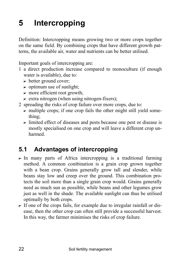# **5 Intercropping**

Definition: Intercropping means growing two or more crops together on the same field. By combining crops that have different growth patterns, the available air, water and nutrients can be better utilised.

Important goals of intercropping are:

- 1 a direct production increase compared to monoculture (if enough water is available), due to:
	- $\triangleright$  better ground cover;
	- $\triangleright$  optimum use of sunlight;
	- $\triangleright$  more efficient root growth;
	- $\triangleright$  extra nitrogen (when using nitrogen-fixers);
- 2 spreading the risks of crop failure over more crops, due to:
	- $\triangleright$  multiple crops; if one crop fails the other might still yield something;
	- $\triangleright$  limited effect of diseases and pests because one pest or disease is mostly specialised on one crop and will leave a different crop unharmed.

### **5.1 Advantages of intercropping**

- $\triangleright$  In many parts of Africa intercropping is a traditional farming method. A common combination is a grain crop grown together with a bean crop. Grains generally grow tall and slender, while beans stay low and creep over the ground. This combination protects the soil more than a single grain crop would. Grains generally need as much sun as possible, while beans and other legumes grow just as well in the shade. The available sunlight can thus be utilised optimally by both crops.
- $\triangleright$  If one of the crops fails, for example due to irregular rainfall or disease, then the other crop can often still provide a successful harvest. In this way, the farmer minimises the risks of crop failure.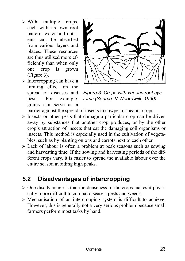- $\triangleright$  With multiple crops, each with its own root pattern, water and nutrients can be absorbed from various layers and places. These resources are thus utilised more efficiently than when only one crop is grown (Figure 3).
- $\triangleright$  Intercropping can have a limiting effect on the spread of diseases and pests. For example, grains can serve as a



*Figure 3: Crops with various root systems (Source: V. Noordwijk, 1990).* 

barrier against the spread of insects in cowpea or peanut crops.

- $\triangleright$  Insects or other pests that damage a particular crop can be driven away by substances that another crop produces, or by the other crop's attraction of insects that eat the damaging soil organisms or insects. This method is especially used in the cultivation of vegetables, such as by planting onions and carrots next to each other.
- $\triangleright$  Lack of labour is often a problem at peak seasons such as sowing and harvesting time. If the sowing and harvesting periods of the different crops vary, it is easier to spread the available labour over the entire season avoiding high peaks.

### **5.2 Disadvantages of intercropping**

- $\triangleright$  One disadvantage is that the denseness of the crops makes it physically more difficult to combat diseases, pests and weeds.
- $\triangleright$  Mechanisation of an intercropping system is difficult to achieve. However, this is generally not a very serious problem because small farmers perform most tasks by hand.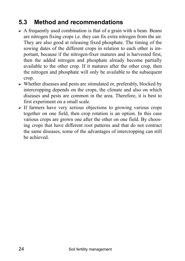## **5.3 Method and recommendations**

- $\triangleright$  A frequently used combination is that of a grain with a bean. Beans are nitrogen fixing crops i.e. they can fix extra nitrogen from the air. They are also good at releasing fixed phosphate. The timing of the sowing dates of the different crops in relation to each other is important, because if the nitrogen-fixer matures and is harvested first, then the added nitrogen and phosphate already become partially available to the other crop. If it matures after the other crop, then the nitrogen and phosphate will only be available to the subsequent crop.
- $\triangleright$  Whether diseases and pests are stimulated or, preferably, blocked by intercropping depends on the crops, the climate and also on which diseases and pests are common in the area. Therefore, it is best to first experiment on a small scale.
- $\triangleright$  If farmers have very serious objections to growing various crops together on one field, then crop rotation is an option. In this case various crops are grown one after the other on one field. By choosing crops that have different root patterns and that do not contract the same diseases, some of the advantages of intercropping can still be achieved.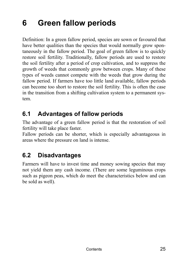# **6 Green fallow periods**

Definition: In a green fallow period, species are sown or favoured that have better qualities than the species that would normally grow spontaneously in the fallow period. The goal of green fallow is to quickly restore soil fertility. Traditionally, fallow periods are used to restore the soil fertility after a period of crop cultivation, and to suppress the growth of weeds that commonly grow between crops. Many of these types of weeds cannot compete with the weeds that grow during the fallow period. If farmers have too little land available, fallow periods can become too short to restore the soil fertility. This is often the case in the transition from a shifting cultivation system to a permanent system.

### **6.1 Advantages of fallow periods**

The advantage of a green fallow period is that the restoration of soil fertility will take place faster.

Fallow periods can be shorter, which is especially advantageous in areas where the pressure on land is intense.

### **6.2 Disadvantages**

Farmers will have to invest time and money sowing species that may not yield them any cash income. (There are some leguminous crops such as pigeon peas, which do meet the characteristics below and can be sold as well).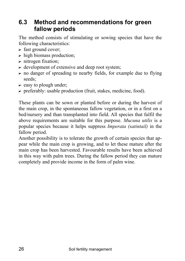#### **6.3 Method and recommendations for green fallow periods**

The method consists of stimulating or sowing species that have the following characteristics:

- $\triangleright$  fast ground cover;
- $\triangleright$  high biomass production;
- $\triangleright$  nitrogen fixation;
- $\triangleright$  development of extensive and deep root system;
- $\triangleright$  no danger of spreading to nearby fields, for example due to flying seeds;
- $\triangleright$  easy to plough under;
- $\triangleright$  preferably: usable production (fruit, stakes, medicine, food).

These plants can be sown or planted before or during the harvest of the main crop, in the spontaneous fallow vegetation, or in a first on a bed/nursery and than transplanted into field. All species that fulfil the above requirements are suitable for this purpose. *Mucuna utilis* is a popular species because it helps suppress *Imperata (satintail)* in the fallow period.

Another possibility is to tolerate the growth of certain species that appear while the main crop is growing, and to let these mature after the main crop has been harvested. Favourable results have been achieved in this way with palm trees. During the fallow period they can mature completely and provide income in the form of palm wine.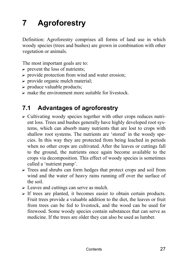# **7 Agroforestry**

Definition: Agroforestry comprises all forms of land use in which woody species (trees and bushes) are grown in combination with other vegetation or animals.

The most important goals are to:

- $\triangleright$  prevent the loss of nutrients;
- $\triangleright$  provide protection from wind and water erosion;
- $\triangleright$  provide organic mulch material;
- $\triangleright$  produce valuable products;
- $\triangleright$  make the environment more suitable for livestock.

#### **7.1 Advantages of agroforestry**

- $\triangleright$  Cultivating woody species together with other crops reduces nutrient loss. Trees and bushes generally have highly developed root systems, which can absorb many nutrients that are lost to crops with shallow root systems. The nutrients are 'stored' in the woody species. In this way they are protected from being leached in periods when no other crops are cultivated. After the leaves or cuttings fall to the ground, the nutrients once again become available to the crops via decomposition. This effect of woody species is sometimes called a 'nutrient pump'.
- $\triangleright$  Trees and shrubs can form hedges that protect crops and soil from wind and the water of heavy rains running off over the surface of the soil.
- $\triangleright$  Leaves and cuttings can serve as mulch.
- $\triangleright$  If trees are planted, it becomes easier to obtain certain products. Fruit trees provide a valuable addition to the diet, the leaves or fruit from trees can be fed to livestock, and the wood can be used for firewood. Some woody species contain substances that can serve as medicine. If the trees are older they can also be used as lumber.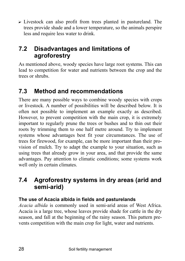$\triangleright$  Livestock can also profit from trees planted in pastureland. The trees provide shade and a lower temperature, so the animals perspire less and require less water to drink.

### **7.2 Disadvantages and limitations of agroforestry**

As mentioned above, woody species have large root systems. This can lead to competition for water and nutrients between the crop and the trees or shrubs.

### **7.3 Method and recommendations**

There are many possible ways to combine woody species with crops or livestock. A number of possibilities will be described below. It is often not possible to implement an example exactly as described. However, to prevent competition with the main crop, it is extremely important to regularly prune the trees or bushes and to thin out their roots by trimming them to one half metre around. Try to implement systems whose advantages best fit your circumstances. The use of trees for firewood, for example, can be more important than their provision of mulch. Try to adapt the example to your situation, such as using trees that already grow in your area, and that provide the same advantages. Pay attention to climatic conditions; some systems work well only in certain climates.

### **7.4 Agroforestry systems in dry areas (arid and semi-arid)**

#### **The use of Acacia albida in fields and pasturelands**

*Acacia albida* is commonly used in semi-arid areas of West Africa. Acacia is a large tree, whose leaves provide shade for cattle in the dry season, and fall at the beginning of the rainy season. This pattern prevents competition with the main crop for light, water and nutrients.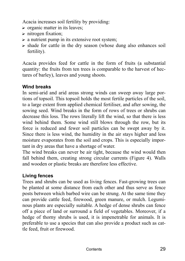Acacia increases soil fertility by providing:

- $\triangleright$  organic matter in its leaves;
- $\triangleright$  nitrogen fixation:
- $\triangleright$  a nutrient pump in its extensive root system;
- $\triangleright$  shade for cattle in the dry season (whose dung also enhances soil fertility).

Acacia provides feed for cattle in the form of fruits (a substantial quantity: the fruits from ten trees is comparable to the harvest of hectares of barley), leaves and young shoots.

#### **Wind breaks**

In semi-arid and arid areas strong winds can sweep away large portions of topsoil. This topsoil holds the most fertile particles of the soil, to a large extent from applied chemical fertiliser, and after sowing, the sowing seed. Wind breaks in the form of rows of trees or shrubs can decrease this loss. The rows literally lift the wind, so that there is less wind behind them. Some wind still blows through the row, but its force is reduced and fewer soil particles can be swept away by it. Since there is less wind, the humidity in the air stays higher and less moisture evaporates from the soil and crops. This is especially important in dry areas that have a shortage of water.

The wind breaks can never be air tight, because the wind would then fall behind them, creating strong circular currents (Figure 4). Walls and wooden or plastic breaks are therefore less effective.

#### **Living fences**

Trees and shrubs can be used as living fences. Fast-growing trees can be planted at some distance from each other and thus serve as fence posts between which barbed wire can be strung. At the same time they can provide cattle feed, firewood, green manure, or mulch. Leguminous plants are especially suitable. A hedge of dense shrubs can fence off a piece of land or surround a field of vegetables. Moreover, if a hedge of thorny shrubs is used, it is impenetrable for animals. It is preferable to use a species that can also provide a product such as cattle feed, fruit or firewood.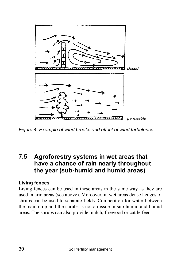

*Figure 4: Example of wind breaks and effect of wind turbulence.* 

#### **7.5 Agroforestry systems in wet areas that have a chance of rain nearly throughout the year (sub-humid and humid areas)**

#### **Living fences**

Living fences can be used in these areas in the same way as they are used in arid areas (see above). Moreover, in wet areas dense hedges of shrubs can be used to separate fields. Competition for water between the main crop and the shrubs is not an issue in sub-humid and humid areas. The shrubs can also provide mulch, firewood or cattle feed.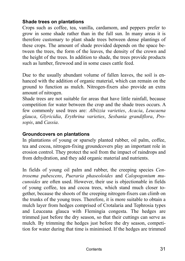#### **Shade trees on plantations**

Crops such as coffee, tea, vanilla, cardamom, and peppers prefer to grow in some shade rather than in the full sun. In many areas it is therefore customary to plant shade trees between dense plantings of these crops. The amount of shade provided depends on the space between the trees, the form of the leaves, the density of the crown and the height of the trees. In addition to shade, the trees provide products such as lumber, firewood and in some cases cattle feed.

Due to the usually abundant volume of fallen leaves, the soil is enhanced with the addition of organic material, which can remain on the ground to function as mulch. Nitrogen-fixers also provide an extra amount of nitrogen.

Shade trees are not suitable for areas that have little rainfall, because competition for water between the crop and the shade trees occurs. A few commonly used trees are: *Albizzia varieties*, *Acacia*, *Leucaena glauca*, *Glyricidia*, *Erythrina varieties*, *Sesbania grandiflora*, *Prosopis*, and *Cassia*.

#### **Groundcovers on plantations**

In plantations of young or sparsely planted rubber, oil palm, coffee, tea and cocoa, nitrogen-fixing groundcovers play an important role in erosion control. They protect the soil from the impact of raindrops and from dehydration, and they add organic material and nutrients.

In fields of young oil palm and rubber, the creeping species *Centrosema pubescens*, *Pueraria phaseoloides* and *Calopogonium mucunoides* are often used. However, their use is objectionable in fields of young coffee, tea and cocoa trees, which stand much closer together, because the shoots of the creeping nitrogen-fixers can climb on the trunks of the young trees. Therefore, it is more suitable to obtain a mulch layer from hedges comprised of Crotalaria and Tephrosia types and Leuceana glauca with Flemingia congesta. The hedges are trimmed just before the dry season, so that their cuttings can serve as mulch. By trimming the hedges just before the dry season, competition for water during that time is minimised. If the hedges are trimmed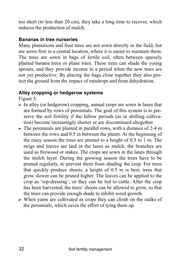too short (to less than 20 cm), they take a long time to recover, which reduces the production of mulch.

#### **Bananas in tree nurseries**

Many plantations and fruit trees are not sown directly in the field, but are sown first in a central location, where it is easier to maintain them. The trees are sown in bags of fertile soil, often between sparsely planted banana trees or plane trees. These trees can shade the young sprouts, and they provide income in a period when the new trees are not yet productive. By placing the bags close together they also protect the ground from the impact of raindrops and from dehydration.

#### **Alley cropping or hedgerow systems**

Figure 5:

- $\triangleright$  In alley (or hedgerow) cropping, annual crops are sown in lanes that are formed by rows of perennials. The goal of this system is to preserve the soil fertility if the fallow periods (as in shifting cultivation) become increasingly shorter or are discontinued altogether.
- $\triangleright$  The perennials are planted in parallel rows, with a distance of 2-4 m between the rows and 0.5 m between the plants. At the beginning of the rainy season the trees are pruned to a height of 0.5 to 1 m. The twigs and leaves are laid in the lanes as mulch, the branches are used as firewood or stakes. The crops are sown in the lanes through the mulch layer. During the growing season the trees have to be pruned regularly, to prevent them from shading the crop. For trees that quickly produce shoots, a height of 0.5 m is best; trees that grow slower can be pruned higher. The leaves can be applied to the crop as 'top-dressing', or they can be fed to cattle. After the crop has been harvested, the trees' shoots can be allowed to grow, so that the trees can provide enough shade to inhibit weed growth.
- $\triangleright$  When yams are cultivated as crops they can climb on the stalks of the perennials, which saves the effort of tying them up.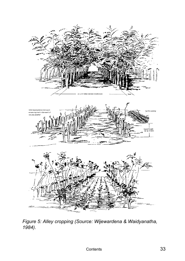

*Figure 5: Alley cropping (Source: Wijewardena & Waidyanatha, 1984).*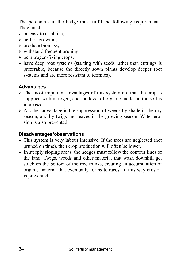The perennials in the hedge must fulfil the following requirements. They must:

- $\triangleright$  be easy to establish;
- $\triangleright$  be fast-growing;
- $\triangleright$  produce biomass;
- $\triangleright$  withstand frequent pruning;
- $\triangleright$  be nitrogen-fixing crops;
- $\triangleright$  have deep root systems (starting with seeds rather than cuttings is preferable, because the directly sown plants develop deeper root systems and are more resistant to termites).

#### **Advantages**

- $\triangleright$  The most important advantages of this system are that the crop is supplied with nitrogen, and the level of organic matter in the soil is increased.
- $\triangleright$  Another advantage is the suppression of weeds by shade in the dry season, and by twigs and leaves in the growing season. Water erosion is also prevented.

#### **Disadvantages/observations**

- $\triangleright$  This system is very labour intensive. If the trees are neglected (not pruned on time), then crop production will often be lower.
- $\triangleright$  In steeply sloping areas, the hedges must follow the contour lines of the land. Twigs, weeds and other material that wash downhill get stuck on the bottom of the tree trunks, creating an accumulation of organic material that eventually forms terraces. In this way erosion is prevented.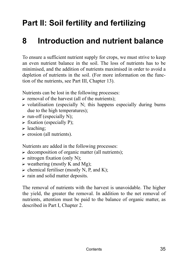## **Part II: Soil fertility and fertilizing**

## **8 Introduction and nutrient balance**

To ensure a sufficient nutrient supply for crops, we must strive to keep an even nutrient balance in the soil. The loss of nutrients has to be minimised, and the addition of nutrients maximised in order to avoid a depletion of nutrients in the soil. (For more information on the function of the nutrients, see Part III, Chapter 13).

Nutrients can be lost in the following processes:

- $\triangleright$  removal of the harvest (all of the nutrients);
- $\triangleright$  volatilisation (especially N; this happens especially during burns due to the high temperatures);
- $\triangleright$  run-off (especially N);
- $\triangleright$  fixation (especially P);
- $\blacktriangleright$  leaching:
- $\triangleright$  erosion (all nutrients).

Nutrients are added in the following processes:

- $\triangleright$  decomposition of organic matter (all nutrients);
- $\triangleright$  nitrogen fixation (only N);
- $\triangleright$  weathering (mostly K and Mg);
- $\triangleright$  chemical fertiliser (mostly N, P, and K);
- $\triangleright$  rain and solid matter deposits.

The removal of nutrients with the harvest is unavoidable. The higher the yield, the greater the removal. In addition to the net removal of nutrients, attention must be paid to the balance of organic matter, as described in Part I, Chapter 2.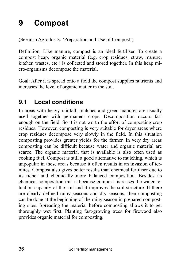## **9 Compost**

(See also Agrodok 8: 'Preparation and Use of Compost')

Definition: Like manure, compost is an ideal fertiliser. To create a compost heap, organic material (e.g. crop residues, straw, manure, kitchen wastes, etc.) is collected and stored together. In this heap micro-organisms decompose the material.

Goal: After it is spread onto a field the compost supplies nutrients and increases the level of organic matter in the soil.

## **9.1 Local conditions**

In areas with heavy rainfall, mulches and green manures are usually used together with permanent crops. Decomposition occurs fast enough on the field. So it is not worth the effort of composting crop residues. However, composting is very suitable for dryer areas where crop residues decompose very slowly in the field. In this situation composting provides greater yields for the farmer. In very dry areas composting can be difficult because water and organic material are scarce. The organic material that is available is also often used as cooking fuel. Compost is still a good alternative to mulching, which is unpopular in these areas because it often results in an invasion of termites. Compost also gives better results than chemical fertiliser due to its richer and chemically more balanced composition. Besides its chemical composition this is because compost increases the water retention capacity of the soil and it improves the soil structure. If there are clearly defined rainy seasons and dry seasons, then composting can be done at the beginning of the rainy season in prepared composting sites. Spreading the material before composting allows it to get thoroughly wet first. Planting fast-growing trees for firewood also provides organic material for composting.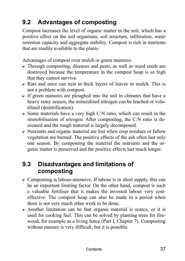# **9.2 Advantages of composting**

Compost increases the level of organic matter in the soil, which has a positive effect on the soil organisms, soil structure, infiltration, water retention capacity and aggregate stability. Compost is rich in nutrients that are readily available to the plants.

Advantages of compost over mulch or green manures:

- $\triangleright$  Through composting, diseases and pests, as well as weed seeds are destroyed because the temperature in the compost heap is so high that they cannot survive.
- $\triangleright$  Rats and mice can nest in thick layers of leaves or mulch. This is not a problem with compost.
- $\triangleright$  If green manures are ploughed into the soil in climates that have a heavy rainy season, the mineralised nitrogen can be leached or volatilised (denitrification).
- $\triangleright$  Some materials have a very high C:N ratio, which can result in the immobilisation of nitrogen. After composting, the C:N ratio is decreased and the rough material is largely decomposed.
- $\triangleright$  Nutrients and organic material are lost when crop residues or fallow vegetation are burned. The positive effects of the ash often last only one season. By composting the material the nutrients and the organic matter is preserved and the positive effects last much longer.

## **9.3 Disadvantages and limitations of composting**

- $\triangleright$  Composting is labour-intensive. If labour is in short supply, this can be an important limiting factor. On the other hand, compost is such a valuable fertiliser that it makes the invested labour very costeffective. The compost heap can also be made in a period when there is not very much other work to be done.
- $\triangleright$  Another limitation can be that organic material is scarce, or it is used for cooking fuel. This can be solved by planting trees for firewood, for example as a living fence (Part I, Chapter 7). Composting without manure is very difficult, but it is possible.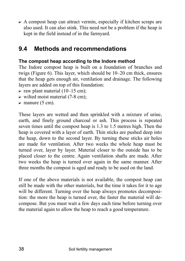$\triangleright$  A compost heap can attract vermin, especially if kitchen scraps are also used. It can also stink. This need not be a problem if the heap is kept in the field instead of in the farmyard.

## **9.4 Methods and recommendations**

## **The compost heap according to the Indore method**

The Indore compost heap is built on a foundation of branches and twigs (Figure 6). This layer, which should be  $10-20$  cm thick, ensures that the heap gets enough air, ventilation and drainage. The following layers are added on top of this foundation:

- $\triangleright$  raw plant material (10–15 cm);
- $\triangleright$  wilted moist material (7-8 cm);
- $\triangleright$  manure (5 cm).

These layers are wetted and then sprinkled with a mixture of urine, earth, and finely ground charcoal or ash. This process is repeated seven times until the compost heap is 1.3 to 1.5 metres high. Then the heap is covered with a layer of earth. Thin sticks are pushed deep into the heap, down to the second layer. By turning these sticks air holes are made for ventilation. After two weeks the whole heap must be turned over, layer by layer. Material closer to the outside has to be placed closer to the centre. Again ventilation shafts are made. After two weeks the heap is turned over again in the same manner. After three months the compost is aged and ready to be used on the land.

If one of the above materials is not available, the compost heap can still be made with the other materials, but the time it takes for it to age will be different. Turning over the heap always promotes decomposition: the more the heap is turned over, the faster the material will decompose. But you must wait a few days each time before turning over the material again to allow the heap to reach a good temperature.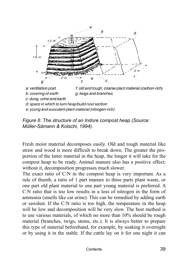

a: ventilation post f: old and tough, coarse plant material (carbon-rich) b: covering of earth g: twigs and branches c: dung, urine and earth d: space in which to turn heap/build next section e: young and succulent plant material (nitrogen-rich)

*Figure 6: The structure of an Indore compost heap (Source: Müller-Sämann & Kotschi, 1994).* 

Fresh moist material decomposes easily. Old and tough material like straw and wood is more difficult to break down. The greater the proportion of the latter material in the heap, the longer it will take for the compost heap to be ready. Animal manure also has a positive effect; without it, decomposition progresses much slower.

The exact ratio of C:N in the compost heap is very important. As a rule of thumb, a ratio of 1 part manure to three parts plant waste, or one part old plant material to one part young material is preferred. A C:N ratio that is too low results in a loss of nitrogen in the form of ammonia (smells like cat urine). This can be remedied by adding earth or sawdust. If the C:N ratio is too high, the temperature in the heap will be low and decomposition will be very slow. The best method is to use various materials, of which no more than 10% should be rough material (branches, twigs, stems, etc.). It is always better to prepare this type of material beforehand, for example, by soaking it overnight or by using it in the stable. If the cattle lay on it for one night it can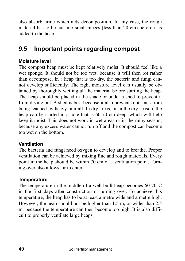also absorb urine which aids decomposition. In any case, the rough material has to be cut into small pieces (less than 20 cm) before it is added to the heap.

## **9.5 Important points regarding compost**

## **Moisture level**

The compost heap must be kept relatively moist. It should feel like a wet sponge. It should not be too wet, because it will then rot rather than decompose. In a heap that is too dry, the bacteria and fungi cannot develop sufficiently. The right moisture level can usually be obtained by thoroughly wetting all the material before starting the heap. The heap should be placed in the shade or under a shed to prevent it from drying out. A shed is best because it also prevents nutrients from being leached by heavy rainfall. In dry areas, or in the dry season, the heap can be started in a hole that is 60-70 cm deep, which will help keep it moist. This does not work in wet areas or in the rainy season, because any excess water cannot run off and the compost can become too wet on the bottom.

## **Ventilation**

The bacteria and fungi need oxygen to develop and to breathe. Proper ventilation can be achieved by mixing fine and rough materials. Every point in the heap should be within 70 cm of a ventilation point. Turning over also allows air to enter.

### **Temperature**

The temperature in the middle of a well-built heap becomes 60-70°C in the first days after construction or turning over. To achieve this temperature, the heap has to be at least a metre wide and a metre high. However, the heap should not be higher than 1.5 m, or wider than 2.5 m, because the temperature can then become too high. It is also difficult to properly ventilate large heaps.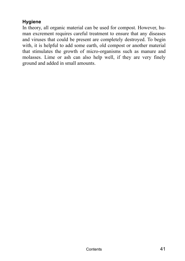## **Hygiene**

In theory, all organic material can be used for compost. However, human excrement requires careful treatment to ensure that any diseases and viruses that could be present are completely destroyed. To begin with, it is helpful to add some earth, old compost or another material that stimulates the growth of micro-organisms such as manure and molasses. Lime or ash can also help well, if they are very finely ground and added in small amounts.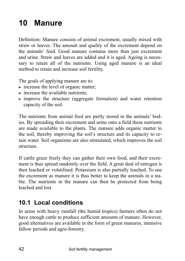# **10 Manure**

Definition: Manure consists of animal excrement, usually mixed with straw or leaves. The amount and quality of the excrement depend on the animals' feed. Good manure contains more than just excrement and urine. Straw and leaves are added and it is aged. Ageing is necessary to retain all of the nutrients. Using aged manure is an ideal method to retain and increase soil fertility.

The goals of applying manure are to:

- $\triangleright$  increase the level of organic matter;
- $\triangleright$  increase the available nutrients:
- $\triangleright$  improve the structure (aggregate formation) and water retention capacity of the soil.

The nutrients from animal feed are partly stored in the animals' bodies. By spreading their excrement and urine onto a field these nutrients are made available to the plants. The manure adds organic matter to the soil, thereby improving the soil's structure and its capacity to retain water. Soil organisms are also stimulated, which improves the soil structure.

If cattle graze freely they can gather their own food, and their excrement is thus spread randomly over the field. A great deal of nitrogen is then leached or volatilised. Potassium is also partially leached. To use the excrement as manure it is thus better to keep the animals in a stable. The nutrients in the manure can then be protected from being leached and lost.

# **10.1 Local conditions**

In areas with heavy rainfall (the humid tropics) farmers often do not have enough cattle to produce sufficient amounts of manure. However, good alternatives are available in the form of green manures, intensive fallow periods and agro-forestry.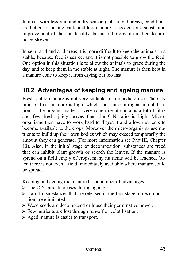In areas with less rain and a dry season (sub-humid areas), conditions are better for raising cattle and less manure is needed for a substantial improvement of the soil fertility, because the organic matter decomposes slower.

In semi-arid and arid areas it is more difficult to keep the animals in a stable, because feed is scarce, and it is not possible to grow the feed. One option in this situation is to allow the animals to graze during the day, and to keep them in the stable at night. The manure is then kept in a manure cone to keep it from drying out too fast.

## **10.2 Advantages of keeping and ageing manure**

Fresh stable manure is not very suitable for immediate use. The C:N ratio of fresh manure is high, which can cause nitrogen immobilisation. If the organic matter is very rough i.e. it contains a lot of fibre and few fresh, juicy leaves then the C:N ratio is high. Microorganisms then have to work hard to digest it and allow nutrients to become available to the crops. Moreover the micro-organisms use nutrients to build up their own bodies which may exceed temporarily the amount they can generate. (For more information see Part III, Chapter 13). Also, in the initial stage of decomposition, substances are freed that can inhibit plant growth or scorch the leaves. If the manure is spread on a field empty of crops, many nutrients will be leached. Often there is not even a field immediately available where manure could be spread.

Keeping and ageing the manure has a number of advantages:

- $\triangleright$  The C:N ratio decreases during ageing.
- $\triangleright$  Harmful substances that are released in the first stage of decomposition are eliminated.
- $\triangleright$  Weed seeds are decomposed or loose their germinative power.
- $\triangleright$  Few nutrients are lost through run-off or volatilisation.
- $\triangleright$  Aged manure is easier to transport.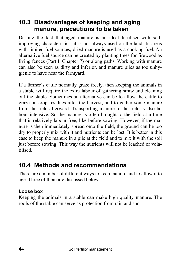## **10.3 Disadvantages of keeping and aging manure, precautions to be taken**

Despite the fact that aged manure is an ideal fertiliser with soilimproving characteristics, it is not always used on the land. In areas with limited fuel sources, dried manure is used as a cooking fuel. An alternative fuel source can be created by planting trees for firewood as living fences (Part I, Chapter 7) or along paths. Working with manure can also be seen as dirty and inferior, and manure piles as too unhygienic to have near the farmyard.

If a farmer's cattle normally graze freely, then keeping the animals in a stable will require the extra labour of gathering straw and cleaning out the stable. Sometimes an alternative can be to allow the cattle to graze on crop residues after the harvest, and to gather some manure from the field afterward. Transporting manure to the field is also labour intensive. So the manure is often brought to the field at a time that is relatively labour-free, like before sowing. However, if the manure is then immediately spread onto the field, the ground can be too dry to properly mix with it and nutrients can be lost. It is better in this case to keep the manure in a pile at the field and to mix it with the soil just before sowing. This way the nutrients will not be leached or volatilised.

# **10.4 Methods and recommendations**

There are a number of different ways to keep manure and to allow it to age. Three of them are discussed below.

## **Loose box**

Keeping the animals in a stable can make high quality manure. The roofs of the stable can serve as protection from rain and sun.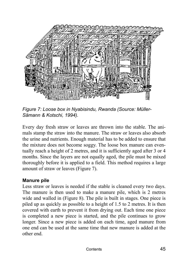

Figure 7: Loose box in Nyabisindu, Rwanda (Source: Müller-*S‰mann & Kotschi, 1994).* 

Every day fresh straw or leaves are thrown into the stable. The animals stamp the straw into the manure. The straw or leaves also absorb the urine and nutrients. Enough material has to be added to ensure that the mixture does not become soggy. The loose box manure can eventually reach a height of 2 metres, and it is sufficiently aged after 3 or 4 months. Since the layers are not equally aged, the pile must be mixed thoroughly before it is applied to a field. This method requires a large amount of straw or leaves (Figure 7).

### **Manure pile**

Less straw or leaves is needed if the stable is cleaned every two days. The manure is then used to make a manure pile, which is 2 metres wide and walled in (Figure 8). The pile is built in stages. One piece is piled up as quickly as possible to a height of 1.5 to 2 metres. It is then covered with earth to prevent it from drying out. Each time one piece is completed a new piece is started, and the pile continues to grow longer. Since a new piece is added on each time, aged manure from one end can be used at the same time that new manure is added at the other end.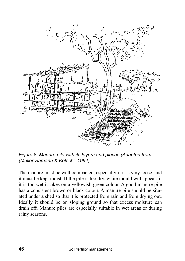

*Figure 8: Manure pile with its layers and pieces (Adapted from (M¸ller-S‰mann & Kotschi, 1994).* 

The manure must be well compacted, especially if it is very loose, and it must be kept moist. If the pile is too dry, white mould will appear; if it is too wet it takes on a yellowish-green colour. A good manure pile has a consistent brown or black colour. A manure pile should be situated under a shed so that it is protected from rain and from drying out. Ideally it should be on sloping ground so that excess moisture can drain off. Manure piles are especially suitable in wet areas or during rainy seasons.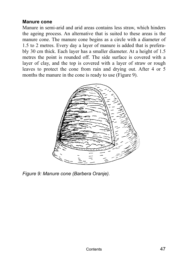#### **Manure cone**

Manure in semi-arid and arid areas contains less straw, which hinders the ageing process. An alternative that is suited to these areas is the manure cone. The manure cone begins as a circle with a diameter of 1.5 to 2 metres. Every day a layer of manure is added that is preferably 30 cm thick. Each layer has a smaller diameter. At a height of 1.5 metres the point is rounded off. The side surface is covered with a layer of clay, and the top is covered with a layer of straw or rough leaves to protect the cone from rain and drying out. After 4 or 5 months the manure in the cone is ready to use (Figure 9).



*Figure 9: Manure cone (Barbera Oranje).*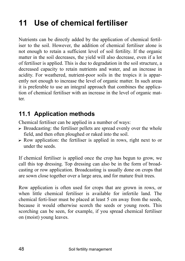# **11 Use of chemical fertiliser**

Nutrients can be directly added by the application of chemical fertiliser to the soil. However, the addition of chemical fertiliser alone is not enough to retain a sufficient level of soil fertility. If the organic matter in the soil decreases, the yield will also decrease, even if a lot of fertiliser is applied. This is due to degradation in the soil structure, a decreased capacity to retain nutrients and water, and an increase in acidity. For weathered, nutrient-poor soils in the tropics it is apparently not enough to increase the level of organic matter. In such areas it is preferable to use an integral approach that combines the application of chemical fertiliser with an increase in the level of organic matter.

# **11.1 Application methods**

Chemical fertiliser can be applied in a number of ways:

- $\triangleright$  Broadcasting: the fertiliser pellets are spread evenly over the whole field, and then often ploughed or raked into the soil.
- $\triangleright$  Row application: the fertiliser is applied in rows, right next to or under the seeds.

If chemical fertiliser is applied once the crop has begun to grow, we call this top dressing. Top dressing can also be in the form of broadcasting or row application. Broadcasting is usually done on crops that are sown close together over a large area, and for mature fruit trees.

Row application is often used for crops that are grown in rows, or when little chemical fertiliser is available for infertile land. The chemical ferti-liser must be placed at least 5 cm away from the seeds, because it would otherwise scorch the seeds or young roots. This scorching can be seen, for example, if you spread chemical fertiliser on (moist) young leaves.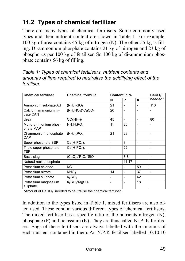# **11.2 Types of chemical fertilizer**

There are many types of chemical fertilisers. Some commonly used types and their nutrient content are shown in Table 1. For example, 100 kg of urea contains 45 kg of nitrogen (N). The other 55 kg is filling. Di-ammonium phosphate contains 21 kg of nitrogen and 23 kg of phosphorus per 100 kg of fertiliser. So 100 kg of di-ammonium phosphate contains 56 kg of filling.

| <b>Chemical fertiliser</b>           | <b>Chemical formula</b>           |                              | Content in %                 |                          |                              |
|--------------------------------------|-----------------------------------|------------------------------|------------------------------|--------------------------|------------------------------|
|                                      |                                   | N                            | P                            | κ                        | CaCO <sub>3</sub><br>needed* |
| Ammonium sulphate AS                 | $(NH_4)_2SO_4$                    | 21                           | $\qquad \qquad \blacksquare$ |                          | 110                          |
| Calcium ammonium ni-<br>trate CAN    | $(NH_4NO_3)^*CaCO_3$              | 20                           |                              |                          |                              |
| Urea                                 | CO(NH <sub>2</sub> ) <sub>2</sub> | 45                           | $\overline{\phantom{0}}$     | $\overline{a}$           | 80                           |
| Mono-ammonium phos-<br>phate MAP     | $NH_4H_2PO_4$                     | 11                           | 20                           | ۳                        | -                            |
| Di-ammonium phosphate<br><b>DAP</b>  | $(NH_4)_2PO_4$                    | 21                           | 23                           | $\overline{a}$           | -                            |
| Super phosphate SSP                  | $Ca(H_2PO_4)_2$                   | $\qquad \qquad \blacksquare$ | 8                            | -                        | -                            |
| Triple super phosphate<br><b>TSP</b> | $Ca(H_2PO_4)_2$                   |                              | 22                           |                          |                              |
| Basic slag                           | $(CaO)_{5}P_{2}O_{5}SIO$          | $\qquad \qquad \blacksquare$ | $3 - 8$                      | -                        | $\overline{a}$               |
| Natural rock phosphate               |                                   | $\qquad \qquad \blacksquare$ | $11 - 17$                    | $\overline{\phantom{0}}$ |                              |
| Potassium chloride                   | KCI                               | $\qquad \qquad \blacksquare$ | $\qquad \qquad$              | 50                       |                              |
| Potassium nitrate                    | KNO <sub>3</sub>                  | 14                           | $\qquad \qquad \blacksquare$ | 37                       | $\overline{a}$               |
| Potassium sulphate                   | $K_2SO_4$                         | $\qquad \qquad \blacksquare$ | -                            | 42                       |                              |
| Potassium magnesium<br>sulphate      | $K_2SO_4$ *MqS $O_4$              |                              |                              | 18                       |                              |

*Table 1: Types of chemical fertilisers, nutrient contents and amounts of lime required to neutralise the acidifying effect of the fertiliser.* 

\*Amount of  $CaCO<sub>3</sub><sup>-</sup>$  needed to neutralise the chemical fertiliser.

In addition to the types listed in Table 1, mixed fertilisers are also often used. These contain various different types of chemical fertilisers. The mixed fertiliser has a specific ratio of the nutrients nitrogen (N), phosphate  $(P)$  and potassium  $(K)$ . They are thus called N: P: K fertilisers. Bags of these fertilisers are always labelled with the amounts of each nutrient contained in them. An N:P:K fertiliser labelled 10:10:10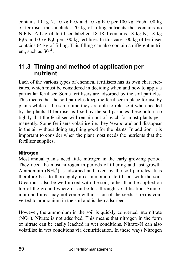contains 10 kg N, 10 kg  $P_2O_5$  and 10 kg K<sub>2</sub>0 per 100 kg. Each 100 kg of fertiliser thus includes 70 kg of filling nutrients that contains no N:P:K. A bag of fertiliser labelled 18:18:0 contains 18 kg N, 18 kg  $P_20_5$  and 0 kg K<sub>2</sub>0 per 100 kg fertiliser. In this case 100 kg of fertiliser contains 64 kg of filling. This filling can also contain a different nutrient, such as  $\text{SO}_4^2$ <sup>2-</sup>.

## **11.3 Timing and method of application per nutrient**

Each of the various types of chemical fertilisers has its own characteristics, which must be considered in deciding when and how to apply a particular fertiliser. Some fertilisers are adsorbed by the soil particles. This means that the soil particles keep the fertiliser in place for use by plants while at the same time they are able to release it when needed by the plants. If fertiliser is fixed by the soil particles these hold it so tightly that the fertiliser will remain out of reach for most plants permanently. Some fertilsers volatilise i.e. they 'evaporate' and disappear in the air without doing anything good for the plants. In addition, it is important to consider when the plant most needs the nutrients that the fertiliser supplies.

### **Nitrogen**

Most annual plants need little nitrogen in the early growing period. They need the most nitrogen in periods of tillering and fast growth. Ammonium  $(NH_4^+)$  is adsorbed and fixed by the soil particles. It is therefore best to thoroughly mix ammonium fertilisers with the soil. Urea must also be well mixed with the soil, rather than be applied on top of the ground where it can be lost through volatilisation. Ammonium and urea may not come within 5 cm of the seeds. Urea is converted to ammonium in the soil and is then adsorbed.

However, the ammonium in the soil is quickly converted into nitrate (NO<sub>3</sub><sup>)</sup>. Nitrate is not adsorbed. This means that nitrogen in the form of nitrate can be easily leached in wet conditions. Nitrate-N can also volatilise in wet conditions via denitrification. In these ways Nitrogen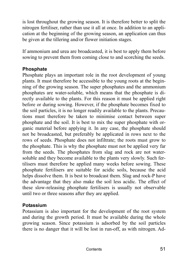is lost throughout the growing season. It is therefore better to split the nitrogen fertiliser, rather than use it all at once. In addition to an application at the beginning of the growing season, an application can thus be given at the tillering and/or flower initiation stages.

If ammonium and urea are broadcasted, it is best to apply them before sowing to prevent them from coming close to and scorching the seeds.

### **Phosphate**

Phosphate plays an important role in the root development of young plants. It must therefore be accessible to the young roots at the beginning of the growing season. The super phosphates and the ammonium phosphates are water-soluble, which means that the phosphate is directly available to the plants. For this reason it must be applied right before or during sowing. However, if the phosphate becomes fixed to the soil particles, it is no longer readily available to the plants. Precautions must therefore be taken to minimise contact between super phosphate and the soil. It is best to mix the super phosphate with organic material before applying it. In any case, the phosphate should not be broadcasted, but preferably be applicated in rows next to the rows of seeds. Phosphate does not infiltrate; the roots must grow to the phosphate. This is why the phosphate must not be applied very far from the seeds. The phosphates from slag and rock are not watersoluble and they become available to the plants very slowly. Such fertilisers must therefore be applied many weeks before sowing. These phosphate fertilisers are suitable for acidic soils, because the acid helps dissolve them. It is best to broadcast them. Slag and rock-P have the advantage that they also make the soil less acidic. The effect of these slow-releasing phosphate fertilisers is usually not observable until two or three seasons after they are applied.

### **Potassium**

Potassium is also important for the development of the root system and during the growth period. It must be available during the whole growing season. Since potassium is adsorbed by the soil particles there is no danger that it will be lost in run-off, as with nitrogen. Ad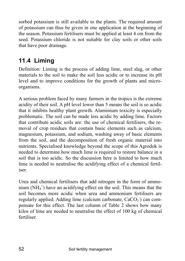sorbed potassium is still available to the plants. The required amount of potassium can thus be given in one application at the beginning of the season. Potassium fertilisers must be applied at least 4 cm from the seed. Potassium chloride is not suitable for clay soils or other soils that have poor drainage.

# **11.4 Liming**

Definition: Liming is the process of adding lime, steel slag, or other materials to the soil to make the soil less acidic or to increase its pH level and to improve conditions for the growth of plants and microorganisms.

A serious problem faced by many farmers in the tropics is the extreme acidity of their soil. A pH level lower than 5 means the soil is so acidic that it inhibits healthy plant growth. Aluminium toxicity is especially problematic. The soil can be made less acidic by adding lime. Factors that contribute acidic soils are: the use of chemical fertilisers, the removal of crop residues that contain basic elements such as calcium, magnesium, potassium, and sodium, washing away of basic elements from the soil, and the decomposition of fresh organic material into nutrients. Specialised knowledge beyond the scope of this Agrodok is needed to determine how much lime is required to restore balance in a soil that is too acidic. So the discussion here is limited to how much lime is needed to neutralise the acidifying effect of a chemical fertiliser.

Urea and chemical fertilisers that add nitrogen in the form of ammonium (NH4 + ) have an acidifying effect on the soil. This means that the soil becomes more acidic when urea and ammonium fertilisers are regularly applied. Adding lime (calcium carbonate, CaCO<sub>3</sub><sup>-</sup>) can compensate for this effect. The last column of Table 2 shows how many kilos of lime are needed to neutralise the effect of 100 kg of chemical fertiliser.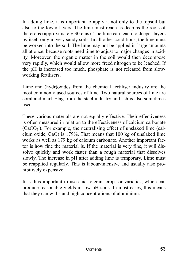In adding lime, it is important to apply it not only to the topsoil but also to the lower layers. The lime must reach as deep as the roots of the crops (approximately 30 cms). The lime can leach to deeper layers by itself only in very sandy soils. In all other conditions, the lime must be worked into the soil. The lime may not be applied in large amounts all at once, because roots need time to adjust to major changes in acidity. Moreover, the organic matter in the soil would then decompose very rapidly, which would allow more freed nitrogen to be leached. If the pH is increased too much, phosphate is not released from slowworking fertilisers.

Lime and (hydr)oxides from the chemical fertiliser industry are the most commonly used sources of lime. Two natural sources of lime are coral and marl. Slag from the steel industry and ash is also sometimes used.

These various materials are not equally effective. Their effectiveness is often measured in relation to the effectiveness of calcium carbonate  $(CaCO<sub>3</sub>)$ . For example, the neutralising effect of unslaked lime (calcium oxide, CaO) is 179%. That means that 100 kg of unslaked lime works as well as 179 kg of calcium carbonate. Another important factor is how fine the material is. If the material is very fine, it will dissolve quickly and work faster than a rough material that dissolves slowly. The increase in pH after adding lime is temporary. Lime must be reapplied regularly. This is labour-intensive and usually also prohibitively expensive.

It is thus important to use acid-tolerant crops or varieties, which can produce reasonable yields in low pH soils. In most cases, this means that they can withstand high concentrations of aluminium.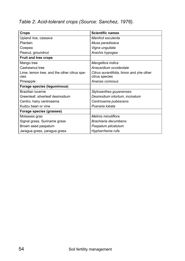*Table 2: Acid-tolerant crops (Source: Sanchez, 1976).* 

| Crops                                               | <b>Scientific names</b>                                    |
|-----------------------------------------------------|------------------------------------------------------------|
| Upland rice, cassava                                | Manihot esculenta                                          |
| Plantain                                            | Musa paradisiaca                                           |
| Cowpea                                              | Vigna unguilata                                            |
| Peanut, groundnut                                   | Arachis hypogea                                            |
| Fruit and tree crops                                |                                                            |
| Mango tree                                          | Mangefera indica                                           |
| Cashewnut tree                                      | Anacardium occidentale                                     |
| Lime, lemon tree, and the other citrus spe-<br>cies | Citrus aurantifolia, limon and yhe other<br>citrus species |
| Pineapple                                           | Ananas comosus                                             |
| Forage species (leguminous)                         |                                                            |
| Brazilian lucerne                                   | Stylosanthes guyanenses                                    |
| Greenleaf, silverleaf desmodium                     | Desmodium intortum, incinatum                              |
| Centro, hairy centrosema                            | Centrosema pubescens                                       |
| Kudzu bean or vine                                  | Pueraria lobata                                            |
| Forage species (grasses)                            |                                                            |
| Molasses gras                                       | Melinis minutiflora                                        |
| Signal grass, Suriname grass                        | Brachiaria decumbens                                       |
| Brown seed paspalum                                 | Paspalum plicatulum                                        |
| Jaragua grass, yaragua grass                        | Hypharrhenia rufa                                          |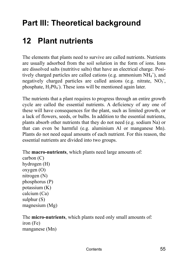# **Part III: Theoretical background**

# **12 Plant nutrients**

The elements that plants need to survive are called nutrients. Nutrients are usually adsorbed from the soil solution in the form of ions. Ions are dissolved salts (nutritive salts) that have an electrical charge. Positively charged particles are called cations (e.g. ammonium  $NH_4^+$ ), and negatively charged particles are called anions (e.g. nitrate,  $NO<sub>3</sub>$ , phosphate,  $H_2PO_4$ . These ions will be mentioned again later.

The nutrients that a plant requires to progress through an entire growth cycle are called the essential nutrients. A deficiency of any one of these will have consequences for the plant, such as limited growth, or a lack of flowers, seeds, or bulbs. In addition to the essential nutrients, plants absorb other nutrients that they do not need (e.g. sodium Na) or that can even be harmful (e.g. aluminium Al or manganese Mn). Plants do not need equal amounts of each nutrient. For this reason, the essential nutrients are divided into two groups.

The **macro-nutrients**, which plants need large amounts of:

carbon (C) hydrogen (H) oxygen (O) nitrogen (N) phosphorus (P) potassium (K) calcium (Ca) sulphur (S) magnesium (Mg)

#### The **micro-nutrients**, which plants need only small amounts of: iron (Fe) manganese (Mn)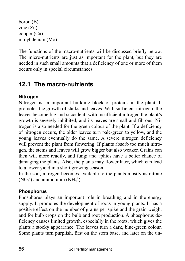```
boron (B) 
zinc (Zn) 
copper (Cu) 
molybdenum (Mo)
```
The functions of the macro-nutrients will be discussed briefly below. The micro-nutrients are just as important for the plant, but they are needed in such small amounts that a deficiency of one or more of them occurs only in special circumstances.

## **12.1 The macro-nutrients**

## **Nitrogen**

Nitrogen is an important building block of proteins in the plant. It promotes the growth of stalks and leaves. With sufficient nitrogen, the leaves become big and succulent; with insufficient nitrogen the plant's growth is severely inhibited, and its leaves are small and fibrous. Nitrogen is also needed for the green colour of the plant. If a deficiency of nitrogen occurs, the older leaves turn pale-green to yellow, and the young leaves eventually do the same. A severe nitrogen deficiency will prevent the plant from flowering. If plants absorb too much nitrogen, the stems and leaves will grow bigger but also weaker. Grains can then wilt more readily, and fungi and aphids have a better chance of damaging the plants. Also, the plants may flower later, which can lead to a lower yield in a short growing season.

In the soil, nitrogen becomes available to the plants mostly as nitrate  $(NO<sub>3</sub>$ <sup>-</sup>) and ammonium  $(NH<sub>4</sub><sup>+</sup>).$ 

## **Phosphorus**

Phosphorus plays an important role in breathing and in the energy supply. It promotes the development of roots in young plants. It has a positive effect on the number of grains per spike and the grain weight and for bulb crops on the bulb and root production. A phosphorus deficiency causes limited growth, especially in the roots, which gives the plants a stocky appearance. The leaves turn a dark, blue-green colour. Some plants turn purplish, first on the stem base, and later on the un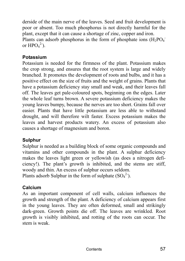derside of the main nerve of the leaves. Seed and fruit development is poor or absent. Too much phosphorus is not directly harmful for the plant, except that it can cause a shortage of zinc, copper and iron. Plants can adsorb phosphorus in the form of phosphate ions  $(H_2PO_4^-)$ or  $HPO<sub>4</sub><sup>2</sup>$ .

### **Potassium**

Potassium is needed for the firmness of the plant. Potassium makes the crop strong, and ensures that the root system is large and widely branched. It promotes the development of roots and bulbs, and it has a positive effect on the size of fruits and the weight of grains. Plants that have a potassium deficiency stay small and weak, and their leaves fall off. The leaves get pale-coloured spots, beginning on the edges. Later the whole leaf turns brown. A severe potassium deficiency makes the young leaves bumpy, because the nerves are too short. Grains fall over easier. Plants that have little potassium are less able to withstand drought, and will therefore wilt faster. Excess potassium makes the leaves and harvest products watery. An excess of potassium also causes a shortage of magnesium and boron.

### **Sulphur**

Sulphur is needed as a building block of some organic compounds and vitamins and other compounds in the plant. A sulphur deficiency makes the leaves light green or yellowish (as does a nitrogen deficiency!). The plant's growth is inhibited, and the stems are stiff, woody and thin. An excess of sulphur occurs seldom.

Plants adsorb Sulphur in the form of sulphate  $(SO_4^2)$ .

## **Calcium**

As an important component of cell walls, calcium influences the growth and strength of the plant. A deficiency of calcium appears first in the young leaves. They are often deformed, small and strikingly dark-green. Growth points die off. The leaves are wrinkled. Root growth is visibly inhibited, and rotting of the roots can occur. The stem is weak.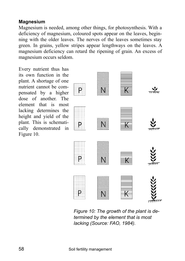#### **Magnesium**

Magnesium is needed, among other things, for photosynthesis. With a deficiency of magnesium, coloured spots appear on the leaves, beginning with the older leaves. The nerves of the leaves sometimes stay green. In grains, yellow stripes appear lengthways on the leaves. A magnesium deficiency can retard the ripening of grain. An excess of magnesium occurs seldom.

Every nutrient thus has its own function in the plant. A shortage of one nutrient cannot be compensated by a higher dose of another. The element that is most lacking determines the height and yield of the plant. This is schematically demonstrated in Figure 10.



*Figure 10: The growth of the plant is determined by the element that is most lacking (Source: FAO, 1984).*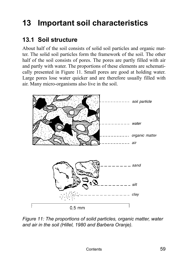# **13 Important soil characteristics**

# **13.1 Soil structure**

About half of the soil consists of solid soil particles and organic matter. The solid soil particles form the framework of the soil. The other half of the soil consists of pores. The pores are partly filled with air and partly with water. The proportions of these elements are schematically presented in Figure 11. Small pores are good at holding water. Large pores lose water quicker and are therefore usually filled with air. Many micro-organisms also live in the soil.



*Figure 11: The proportions of solid particles, organic matter, water and air in the soil (Hillel, 1980 and Barbera Oranje).*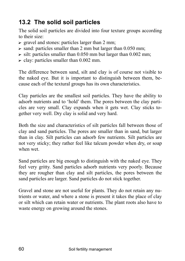# **13.2 The solid soil particles**

The solid soil particles are divided into four texture groups according to their size:

- $\triangleright$  gravel and stones: particles larger than 2 mm;
- $\triangleright$  sand: particles smaller than 2 mm but larger than 0.050 mm;
- $\triangleright$  silt: particles smaller than 0.050 mm but larger than 0.002 mm;
- $\triangleright$  clay: particles smaller than 0.002 mm.

The difference between sand, silt and clay is of course not visible to the naked eye. But it is important to distinguish between them, because each of the textural groups has its own characteristics.

Clay particles are the smallest soil particles. They have the ability to adsorb nutrients and to 'hold' them. The pores between the clay particles are very small. Clay expands when it gets wet. Clay sticks together very well. Dry clay is solid and very hard.

Both the size and characteristics of silt particles fall between those of clay and sand particles. The pores are smaller than in sand, but larger than in clay. Silt particles can adsorb few nutrients. Silt particles are not very sticky; they rather feel like talcum powder when dry, or soap when wet.

Sand particles are big enough to distinguish with the naked eye. They feel very gritty. Sand particles adsorb nutrients very poorly. Because they are rougher than clay and silt particles, the pores between the sand particles are larger. Sand particles do not stick together.

Gravel and stone are not useful for plants. They do not retain any nutrients or water, and where a stone is present it takes the place of clay or silt which can retain water or nutrients. The plant roots also have to waste energy on growing around the stones.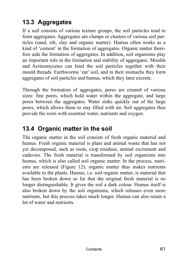# **13.3 Aggregates**

If a soil consists of various texture groups, the soil particles tend to form aggregates. Aggregates are clumps or clusters of various soil particles (sand, silt, clay and organic matter). Humus often works as a kind of 'cement' in the formation of aggregates. Organic matter therefore aids the formation of aggregates. In addition, soil organisms play an important role in the formation and stability of aggregates. Moulds and Actinomycetes can bind the soil particles together with their mould threads. Earthworms 'eat' soil, and in their stomachs they form aggregates of soil particles and humus, which they later excrete.

Through the formation of aggregates, pores are created of various sizes: fine pores, which hold water within the aggregate, and large pores between the aggregates. Water sinks quickly out of the large pores, which allows them to stay filled with air. Soil aggregates thus provide the roots with essential water, nutrients and oxygen.

# **13.4 Organic matter in the soil**

The organic matter in the soil consists of fresh organic material and humus. Fresh organic material is plant and animal waste that has not yet decomposed, such as roots, crop residues, animal excrement and cadavers. The fresh material is transformed by soil organisms into humus, which is also called soil organic matter. In the process, nutrients are released (Figure 12); organic matter thus makes nutrients available to the plants. Humus, i.e. soil organic matter, is material that has been broken down so far that the original fresh material is no longer distinguishable. It gives the soil a dark colour. Humus itself is also broken down by the soil organisms, which releases even more nutrients, but this process takes much longer. Humus can also retain a lot of water and nutrients.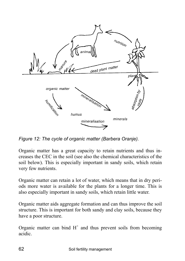

*Figure 12: The cycle of organic matter (Barbera Oranje).* 

Organic matter has a great capacity to retain nutrients and thus increases the CEC in the soil (see also the chemical characteristics of the soil below). This is especially important in sandy soils, which retain very few nutrients.

Organic matter can retain a lot of water, which means that in dry periods more water is available for the plants for a longer time. This is also especially important in sandy soils, which retain little water.

Organic matter aids aggregate formation and can thus improve the soil structure. This is important for both sandy and clay soils, because they have a poor structure.

Organic matter can bind  $H^+$  and thus prevent soils from becoming acidic.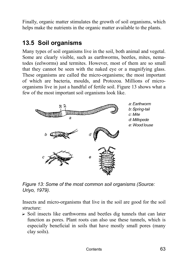Finally, organic matter stimulates the growth of soil organisms, which helps make the nutrients in the organic matter available to the plants.

## **13.5 Soil organisms**

Many types of soil organisms live in the soil, both animal and vegetal. Some are clearly visible, such as earthworms, beetles, mites, nematodes (eelworms) and termites. However, most of them are so small that they cannot be seen with the naked eye or a magnifying glass. These organisms are called the micro-organisms; the most important of which are bacteria, moulds, and Protozoa. Millions of microorganisms live in just a handful of fertile soil. Figure 13 shows what a few of the most important soil organisms look like.



*Figure 13: Some of the most common soil organisms (Source: Uriyo, 1979).* 

Insects and micro-organisms that live in the soil are good for the soil structure:

 $\triangleright$  Soil insects like earthworms and beetles dig tunnels that can later function as pores. Plant roots can also use these tunnels, which is especially beneficial in soils that have mostly small pores (many clay soils).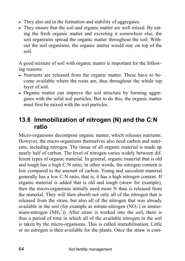- $\triangleright$  They also aid in the formation and stability of aggregates.
- $\triangleright$  They ensure that the soil and organic matter are well mixed. By eating the fresh organic matter and excreting it somewhere else, the soil organisms spread the organic matter throughout the soil. Without the soil organisms, the organic matter would stay on top of the soil.

A good mixture of soil with organic matter is important for the following reasons:

- $\triangleright$  Nutrients are released from the organic matter. These have to become available where the roots are, thus throughout the whole top layer of soil.
- $\triangleright$  Organic matter can improve the soil structure by forming aggregates with the solid soil particles. But to do this, the organic matter must first be mixed with the soil particles.

## **13.6 Immobilization of nitrogen (N) and the C:N ratio**

Micro-organisms decompose organic matter, which releases nutrients. However, the micro-organisms themselves also need carbon and nutrients, including nitrogen. The tissue of all organic material is made up nearly half of carbon. The level of nitrogen varies widely between different types of organic material. In general, organic material that is old and tough has a high C:N ratio, in other words, the nitrogen content is low compared to the amount of carbon. Young and succulent material generally has a low C:N ratio, that is, it has a high nitrogen content. If organic material is added that is old and tough (straw for example), then the micro-organisms initially need more N than is released from the material. They will then absorb not only all of the nitrogen that is released from the straw, but also all of the nitrogen that was already available in the soil (for example as nitrate-nitrogen  $(NO<sub>3</sub>)$  or ammonium-nitrogen  $(NH_4^+)$ ). After straw is worked into the soil, there is thus a period of time in which all of the available nitrogen in the soil is taken by the micro-organisms. This is called immobilisation. Little or no nitrogen is then available for the plants. Once the straw is com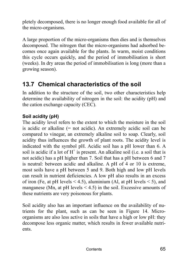pletely decomposed, there is no longer enough food available for all of the micro-organisms.

A large proportion of the micro-organisms then dies and is themselves decomposed. The nitrogen that the micro-organisms had adsorbed becomes once again available for the plants. In warm, moist conditions this cycle occurs quickly, and the period of immobilisation is short (weeks). In dry areas the period of immobilisation is long (more than a growing season).

## **13.7 Chemical characteristics of the soil**

In addition to the structure of the soil, two other characteristics help determine the availability of nitrogen in the soil: the acidity (pH) and the cation exchange capacity (CEC).

## **Soil acidity (pH)**

The acidity level refers to the extent to which the moisture in the soil is acidic or alkaline (= not acidic). An extremely acidic soil can be compared to vinegar, an extremely alkaline soil to soap. Clearly, soil acidity thus influences the growth of plant roots. The acidity level is indicated with the symbol pH. Acidic soil has a pH lower than 6. A soil is acidic if a lot of  $H^+$  is present. An alkaline soil (i.e. a soil that is not acidic) has a pH higher than 7. Soil that has a pH between 6 and 7 is neutral: between acidic and alkaline. A pH of 4 or 10 is extreme, most soils have a pH between 5 and 9. Both high and low pH levels can result in nutrient deficiencies. A low pH also results in an excess of iron (Fe, at pH levels  $\leq$  4.5), aluminium (Al, at pH levels  $\leq$  5), and manganese (Mn, at pH levels  $\leq$  4.5) in the soil. Excessive amounts of these nutrients are very poisonous for plants.

Soil acidity also has an important influence on the availability of nutrients for the plant, such as can be seen in Figure 14. Microorganisms are also less active in soils that have a high or low pH: they decompose less organic matter, which results in fewer available nutrients.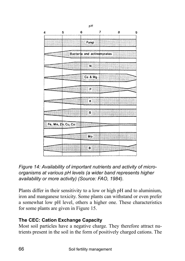| 4      | 5                  | 6                          | 7 | 8 |
|--------|--------------------|----------------------------|---|---|
|        |                    | Fungi                      |   |   |
|        |                    | Bacteria and actinomycetes |   |   |
|        |                    | 'N                         |   |   |
|        |                    | Ca & Mg                    |   |   |
|        |                    | P                          |   |   |
| ------ |                    | K                          |   |   |
|        |                    | Ŝ                          |   |   |
|        | Fe, Mn, Zn, Cu, Co |                            |   |   |
| 5555   |                    | Mo                         |   |   |
|        |                    | B                          |   |   |

pН



Plants differ in their sensitivity to a low or high pH and to aluminium, iron and manganese toxicity. Some plants can withstand or even prefer a somewhat low pH level, others a higher one. These characteristics for some plants are given in Figure 15.

## **The CEC: Cation Exchange Capacity**

Most soil particles have a negative charge. They therefore attract nutrients present in the soil in the form of positively charged cations. The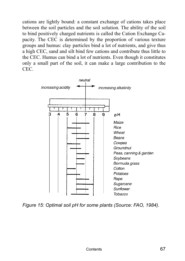cations are lightly bound: a constant exchange of cations takes place between the soil particles and the soil solution. The ability of the soil to bind positively charged nutrients is called the Cation Exchange Capacity. The CEC is determined by the proportion of various texture groups and humus: clay particles bind a lot of nutrients, and give thus a high CEC, sand and silt bind few cations and contribute thus little to the CEC. Humus can bind a lot of nutrients. Even though it constitutes only a small part of the soil, it can make a large contribution to the CEC.



*Figure 15: Optimal soil pH for some plants (Source: FAO, 1984).*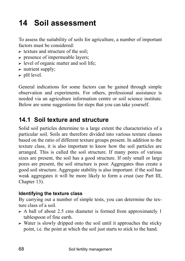# **14 Soil assessment**

To assess the suitability of soils for agriculture, a number of important factors must be considered:

- $\triangleright$  texture and structure of the soil:
- $\triangleright$  presence of impermeable layers;
- $\triangleright$  level of organic matter and soil life;
- $\triangleright$  nutrient supply;
- $\triangleright$  pH level.

General indications for some factors can be gained through simple observation and experiments. For others, professional assistance is needed via an agriculture information centre or soil science institute. Below are some suggestions for steps that you can take yourself.

## **14.1 Soil texture and structure**

Solid soil particles determine to a large extent the characteristics of a particular soil. Soils are therefore divided into various texture classes based on the ratio of different texture groups present. In addition to the texture class, it is also important to know how the soil particles are arranged. This is called the soil structure. If many pores of various sizes are present, the soil has a good structure. If only small or large pores are present, the soil structure is poor. Aggregates thus create a good soil structure. Aggregate stability is also important: if the soil has weak aggregates it will be more likely to form a crust (see Part III, Chapter 13).

#### **Identifying the texture class**

By carrying out a number of simple tests, you can determine the texture class of a soil.

- $\triangleright$  A ball of about 2.5 cms diameter is formed from approximately 1 tablespoon of fine earth.
- $\triangleright$  Water is slowly dripped onto the soil until it approaches the sticky point, i.e. the point at which the soil just starts to stick to the hand.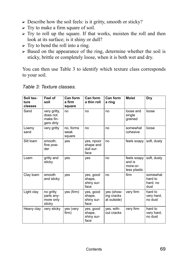- $\triangleright$  Describe how the soil feels: is it gritty, smooth or sticky?
- $\triangleright$  Try to make a firm square of soil.
- $\triangleright$  Try to roll up the square. If that works, moisten the roll and then look at its surface; is it shiny or dull?
- $\triangleright$  Try to bend the roll into a ring.
- $\triangleright$  Based on the appearance of the ring, determine whether the soil is sticky, brittle or completely loose, when it is both wet and dry.

You can then use Table 3 to identify which texture class corresponds to your soil.

| Soil tex-<br>ture<br>classes | Feel of<br>soil                                     | Can form<br>a firm<br>square | Can form<br>a thin roll                      | Can form<br>a ring                      | <b>Moist</b>                                      | Dry                                     |
|------------------------------|-----------------------------------------------------|------------------------------|----------------------------------------------|-----------------------------------------|---------------------------------------------------|-----------------------------------------|
| Sand                         | very gritty,<br>does not<br>make fin-<br>gers dirty | no                           | no                                           | no                                      | loose and<br>single<br>grained                    | loose                                   |
| Loamy<br>sand                | very gritty                                         | no, forms<br>weak<br>square  | no                                           | no                                      | somewhat<br>cohesive                              | loose                                   |
| Silt Ioam                    | smooth,<br>fine pow-<br>der                         | yes                          | yes, npoor<br>shape and<br>dull sur-<br>face | no                                      | feels soapy                                       | soft, dusty                             |
| Loam                         | gritty and<br>sticky                                | yes                          | yes                                          | no                                      | feels soapy<br>and is<br>more-or-<br>less plastic | soft, dusty                             |
| Clay loam                    | smooth<br>and sticky                                | ves                          | yes, good<br>shape,<br>shiny sur-<br>face    | no                                      | firm                                              | somewhat<br>hard to<br>hard, no<br>dust |
| Light clay                   | no gritty<br>parts any-<br>more only<br>sticky      | yes (firm)                   | yes, good<br>shape,<br>shiny sur-<br>face    | yes (show-<br>ing cracks<br>at outside) | very firm                                         | hard to<br>very hard,<br>no dust        |
| Heavy clay                   | very sticky                                         | yes (very<br>firm)           | yes, good<br>shape,<br>shiny sur-<br>face    | yes, with-<br>out cracks                | very firm                                         | hard to<br>very hard,<br>no dust        |

#### *Table 3: Texture classes.*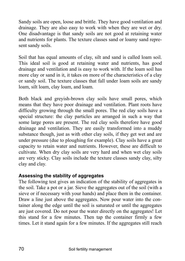Sandy soils are open, loose and brittle. They have good ventilation and drainage. They are also easy to work with when they are wet or dry. One disadvantage is that sandy soils are not good at retaining water and nutrients for plants. The texture classes sand or loamy sand represent sandy soils.

Soil that has equal amounts of clay, silt and sand is called loam soil. This ideal soil is good at retaining water and nutrients, has good drainage and ventilation and is easy to work with. If the loam soil has more clay or sand in it, it takes on more of the characteristics of a clay or sandy soil. The texture classes that fall under loam soils are sandy loam, silt loam, clay loam, and loam.

Both black and greyish-brown clay soils have small pores, which means that they have poor drainage and ventilation. Plant roots have difficulty growing through the small pores. The red clay soils have a special structure: the clay particles are arranged in such a way that some large pores are present. The red clay soils therefore have good drainage and ventilation. They are easily transformed into a muddy substance though, just as with other clay soils, if they get wet and are under pressure (due to ploughing for example). Clay soils have a great capacity to retain water and nutrients. However, these are difficult to cultivate. When dry clay soils are very hard and when wet clay soils are very sticky. Clay soils include the texture classes sandy clay, silty clay and clay.

### **Assessing the stability of aggregates**

The following test gives an indication of the stability of aggregates in the soil. Take a pot or a jar. Sieve the aggregates out of the soil (with a sieve or if necessary with your hands) and place them in the container. Draw a line just above the aggregates. Now pour water into the container along the edge until the soil is saturated or until the aggregates are just covered. Do not pour the water directly on the aggregates! Let this stand for a few minutes. Then tap the container firmly a few times. Let it stand again for a few minutes. If the aggregates still reach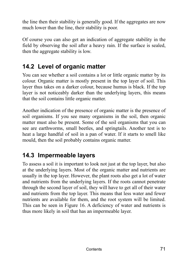the line then their stability is generally good. If the aggregates are now much lower than the line, their stability is poor.

Of course you can also get an indication of aggregate stability in the field by observing the soil after a heavy rain. If the surface is sealed, then the aggregate stability is low.

## **14.2 Level of organic matter**

You can see whether a soil contains a lot or little organic matter by its colour. Organic matter is mostly present in the top layer of soil. This layer thus takes on a darker colour, because humus is black. If the top layer is not noticeably darker than the underlying layers, this means that the soil contains little organic matter.

Another indication of the presence of organic matter is the presence of soil organisms. If you see many organisms in the soil, then organic matter must also be present. Some of the soil organisms that you can see are earthworms, small beetles, and springtails. Another test is to heat a large handful of soil in a pan of water. If it starts to smell like mould, then the soil probably contains organic matter.

## **14.3 Impermeable layers**

To assess a soil it is important to look not just at the top layer, but also at the underlying layers. Most of the organic matter and nutrients are usually in the top layer. However, the plant roots also get a lot of water and nutrients from the underlying layers. If the roots cannot penetrate through the second layer of soil, they will have to get all of their water and nutrients from the top layer. This means that less water and fewer nutrients are available for them, and the root system will be limited. This can be seen in Figure 16. A deficiency of water and nutrients is thus more likely in soil that has an impermeable layer.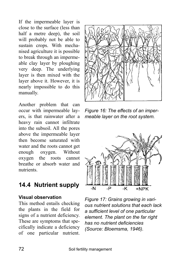If the impermeable layer is close to the surface (less than half a metre deep), the soil will probably not be able to sustain crops. With mechanised agriculture it is possible to break through an impermeable clay layer by ploughing very deep. The underlying layer is then mixed with the layer above it. However, it is nearly impossible to do this manually.

Another problem that can occur with impermeable layers, is that rainwater after a heavy rain cannot infiltrate into the subsoil. All the pores above the impermeable layer then become saturated with water and the roots cannot get enough oxygen. Without oxygen the roots cannot breathe or absorb water and nutrients.

## **14.4 Nutrient supply**

#### **Visual observation**

This method entails checking the plants in the field for signs of a nutrient deficiency. These are symptoms that specifically indicate a deficiency of one particular nutrient.



*Figure 16: The effects of an impermeable layer on the root system.* 



*Figure 17: Grains growing in various nutrient solutions that each lack a sufficient level of one particular element. The plant on the far right has no nutrient deficiencies (Source: Bloemsma, 1946).*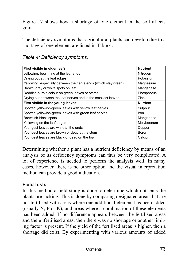Figure 17 shows how a shortage of one element in the soil affects grain.

The deficiency symptoms that agricultural plants can develop due to a shortage of one element are listed in Table 4.

*Table 4: Deficiency symptoms.* 

| First visible in older leafs                                    | <b>Nutrient</b> |
|-----------------------------------------------------------------|-----------------|
| yellowing, beginning at the leaf ends                           | Nitrogen        |
| Drying out at the leaf edges                                    | Potassium       |
| Yellowing, especially between the nerve ends (which stay green) | Magnesium       |
| Brown, grey or white spots on leaf                              | Manganese       |
| Reddish-purple colour on green leaves or stems                  | Phosphorus      |
| Drying out between the leaf nerves and in the smallest leaves   | Zinc            |
| First visible in the young leaves                               | <b>Nutrient</b> |
| Spotted yellowish-green leaves with yellow leaf nerves          | Sulphur         |
| Spotted yellowish-green leaves with green leaf nerves           | Iron            |
| Brownish-black spots                                            | Manganese       |
| Yellowing on the leaf edges                                     | Molybdenum      |
| Youngest leaves are white at the ends                           | Copper          |
| Youngest leaves are brown or dead at the stem                   | Boron           |
| Youngest leaves are black or dead on the top                    | Calcium         |

Determining whether a plant has a nutrient deficiency by means of an analysis of its deficiency symptoms can thus be very complicated. A lot of experience is needed to perform the analysis well. In many cases, however, there is no other option and the visual interpretation method can provide a good indication.

#### **Field-tests**

In this method a field study is done to determine which nutrients the plants are lacking. This is done by comparing designated areas that are not fertilised with areas where one additional element has been added (usually N, P or K), and areas where a combination of these elements has been added. If no difference appears between the fertilised areas and the unfertilised areas, then there was no shortage or another limiting factor is present. If the yield of the fertilised areas is higher, then a shortage did exist. By experimenting with various amounts of added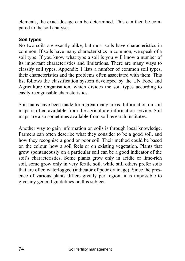elements, the exact dosage can be determined. This can then be compared to the soil analyses.

#### **Soil types**

No two soils are exactly alike, but most soils have characteristics in common. If soils have many characteristics in common, we speak of a soil type. If you know what type a soil is you will know a number of its important characteristics and limitations. There are many ways to classify soil types. Appendix 1 lists a number of common soil types, their characteristics and the problems often associated with them. This list follows the classification system developed by the UN Food and Agriculture Organisation, which divides the soil types according to easily recognisable characteristics.

Soil maps have been made for a great many areas. Information on soil maps is often available from the agriculture information service. Soil maps are also sometimes available from soil research institutes.

Another way to gain information on soils is through local knowledge. Farmers can often describe what they consider to be a good soil, and how they recognise a good or poor soil. Their method could be based on the colour, how a soil feels or on existing vegetation. Plants that grow spontaneously on a particular soil can be a good indicator of the soil's characteristics. Some plants grow only in acidic or lime-rich soil, some grow only in very fertile soil, while still others prefer soils that are often waterlogged (indicator of poor drainage). Since the presence of various plants differs greatly per region, it is impossible to give any general guidelines on this subject.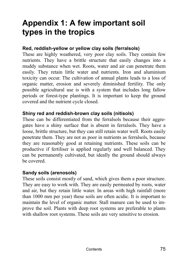## **Appendix 1: A few important soil types in the tropics**

### **Red, reddish-yellow or yellow clay soils (ferralsols)**

These are highly weathered, very poor clay soils. They contain few nutrients. They have a brittle structure that easily changes into a muddy substance when wet. Roots, water and air can penetrate them easily. They retain little water and nutrients. Iron and aluminium toxicity can occur. The cultivation of annual plants leads to a loss of organic matter, erosion and severely diminished fertility. The only possible agricultural use is with a system that includes long fallow periods or forest-type plantings. It is important to keep the ground covered and the nutrient cycle closed.

#### **Shiny red and reddish-brown clay soils (nitisols)**

These can be differentiated from the ferralsols because their aggregates have a shiny surface that is absent in ferralsols. They have a loose, brittle structure, but they can still retain water well. Roots easily penetrate them. They are not as poor in nutrients as ferralsols, because they are reasonably good at retaining nutrients. These soils can be productive if fertiliser is applied regularly and well balanced. They can be permanently cultivated, but ideally the ground should always be covered.

#### **Sandy soils (arenosols)**

These soils consist mostly of sand, which gives them a poor structure. They are easy to work with. They are easily permeated by roots, water and air, but they retain little water. In areas with high rainfall (more than 1000 mm per year) these soils are often acidic. It is important to maintain the level of organic matter. Stall manure can be used to improve the soil. Plants with deep root systems are preferable to plants with shallow root systems. These soils are very sensitive to erosion.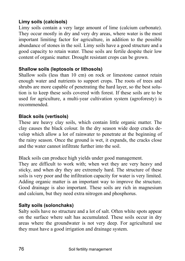## **Limy soils (calcisols)**

Limy soils contain a very large amount of lime (calcium carbonate). They occur mostly in dry and very dry areas, where water is the most important limiting factor for agriculture, in addition to the possible abundance of stones in the soil. Limy soils have a good structure and a good capacity to retain water. These soils are fertile despite their low content of organic matter. Drought resistant crops can be grown.

### **Shallow soils (leptosols or lithosols)**

Shallow soils (less than 10 cm) on rock or limestone cannot retain enough water and nutrients to support crops. The roots of trees and shrubs are more capable of penetrating the hard layer, so the best solution is to keep these soils covered with forest. If these soils are to be used for agriculture, a multi-year cultivation system (agroforesty) is recommended.

#### **Black soils (vertisols)**

These are heavy clay soils, which contain little organic matter. The clay causes the black colour. In the dry season wide deep cracks develop which allow a lot of rainwater to penetrate at the beginning of the rainy season. Once the ground is wet, it expands, the cracks close and the water cannot infiltrate further into the soil.

Black soils can produce high yields under good management.

They are difficult to work with; when wet they are very heavy and sticky, and when dry they are extremely hard. The structure of these soils is very poor and the infiltration capacity for water is very limited. Adding organic matter is an important way to improve the structure. Good drainage is also important. These soils are rich in magnesium and calcium, but they need extra nitrogen and phosphorus.

## **Salty soils (solonchaks)**

Salty soils have no structure and a lot of salt. Often white spots appear on the surface where salt has accumulated. These soils occur in dry areas where the groundwater is not very deep. For agricultural use they must have a good irrigation and drainage system.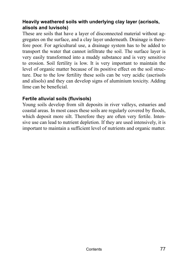## **Heavily weathered soils with underlying clay layer (acrisols, alisols and luvisols)**

These are soils that have a layer of disconnected material without aggregates on the surface, and a clay layer underneath. Drainage is therefore poor. For agricultural use, a drainage system has to be added to transport the water that cannot infiltrate the soil. The surface layer is very easily transformed into a muddy substance and is very sensitive to erosion. Soil fertility is low. It is very important to maintain the level of organic matter because of its positive effect on the soil structure. Due to the low fertility these soils can be very acidic (ascrisols and alisols) and they can develop signs of aluminium toxicity. Adding lime can be beneficial.

### **Fertile alluvial soils (fluvisols)**

Young soils develop from silt deposits in river valleys, estuaries and coastal areas. In most cases these soils are regularly covered by floods, which deposit more silt. Therefore they are often very fertile. Intensive use can lead to nutrient depletion. If they are used intensively, it is important to maintain a sufficient level of nutrients and organic matter.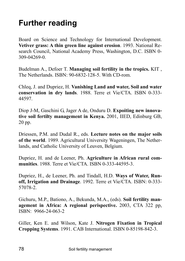## **Further reading**

Board on Science and Technology for International Development. **Vetiver grass: A thin green line against erosion**. 1993. National Research Council, National Academy Press, Washington, D.C. ISBN 0- 309-04269-0.

Budelman A., Defoer T. **Managing soil fertility in the tropics.** KIT , The Netherlands. ISBN: 90-6832-128-5. With CD-rom.

Chleq, J. and Dupriez, H. **Vanishing Land and water, Soil and water conservation in dry lands**. 1988. Terre et Vie/CTA. ISBN 0-333- 44597.

Diop J-M, Gaschini G, Jager A de, Onduru D. **Expoiting new innovative soil fertilty management in Kenya.** 2001, IIED, Edinburg GB, 20 pp.

Driessen, P.M. and Dudal R., eds. **Lecture notes on the major soils of the world**. 1989. Agricultural University Wageningen, The Netherlands, and Catholic University of Leuven, Belgium.

Dupriez, H. and de Leener, Ph. **Agriculture in African rural communities**. 1988. Terre et Vie/CTA. ISBN 0-333-44595-3.

Dupriez, H., de Leener, Ph. and Tindall, H.D. **Ways of Water, Runoff, Irrigation and Drainage**. 1992. Terre et Vie/CTA. ISBN: 0-333- 57078-2.

Gichuru, M.P., Bationo, A., Bekunda, M.A., (eds). **Soil fertility management in Africa: A regional perispective.** 2003, CTA 322 pp, ISBN: 9966-24-063-2

Giller, Ken E. and Wilson, Kate J. **Nitrogen Fixation in Tropical Cropping Systems**. 1991. CAB International. ISBN 0-85198-842-3.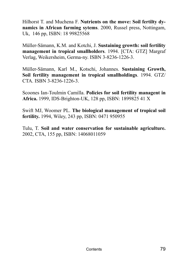Hilhorst T. and Muchena F. **Nutrients on the move: Soil fertilty dynamics in African farming sytems**. 2000, Russel press, Nottingam, Uk, 146 pp, ISBN: 18 99825568

Müller-Sämann, K.M. and Kotchi, J. Sustaining growth: soil fertility **management in tropical smallholders**. 1994. [CTA: GTZ] Margraf Verlag, Weikersheim, Germa-ny. ISBN 3-8236-1226-3.

Müller-Sämann, Karl M., Kotschi, Johannes. Sustaining Growth, **Soil fertility management in tropical smallholdings**. 1994. GTZ/ CTA. ISBN 3-8236-1226-3.

Scoones Ian-Toulmin Camilla. **Policies for soil fertility managent in Africa.** 1999, IDS-Brighton-UK, 128 pp, ISBN: 1899825 41 X

Swift MJ, Woomer PL. **The biological management of tropical soil fertility.** 1994, Wiley, 243 pp, ISBN: 0471 950955

Tulu, T. **Soil and water conservation for sustainable agriculture.** 2002, CTA, 155 pp, ISBN: 14068011059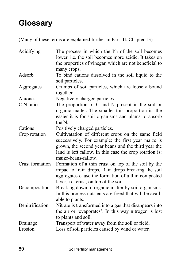# **Glossary**

(Many of these terms are explained further in Part III, Chapter 13)

| Acidifying          | The process in which the Ph of the soil becomes<br>lower, <i>i.e.</i> the soil becomes more acidic. It takes on<br>the properties of vinegar, which are not beneficial to<br>many crops.                                                          |
|---------------------|---------------------------------------------------------------------------------------------------------------------------------------------------------------------------------------------------------------------------------------------------|
| Adsorb              | To bind cations dissolved in the soil liquid to the<br>soil particles.                                                                                                                                                                            |
| Aggregates          | Crumbs of soil particles, which are loosely bound<br>together.                                                                                                                                                                                    |
| Aniones             | Negatively charged particles.                                                                                                                                                                                                                     |
| $C:N$ ratio         | The proportion of C and N present in the soil or<br>organic matter. The smaller this proportion is, the<br>easier it is for soil organisms and plants to absorb<br>the N.                                                                         |
| Cations             | Positively charged particles.                                                                                                                                                                                                                     |
| Crop rotation       | Cultivatation of different crops on the same field<br>successively. For example: the first year maize is<br>grown, the second year beans and the third year the<br>land is left fallow. In this case the crop rotation is:<br>maize-beans-fallow. |
| Crust formation     | Formation of a thin crust on top of the soil by the<br>impact of rain drops. Rain drops breaking the soil<br>aggregates cause the formation of a thin compacted<br>layer, i.e. crust, on top of the soil.                                         |
| Decomposition       | Breaking down of organic matter by soil organisms.<br>In this process nutrients are freed that will be avail-<br>able to plants.                                                                                                                  |
| Denitrification     | Nitrate is transformed into a gas that disappears into<br>the air or 'evaporates'. In this way nitrogen is lost<br>to plants and soil.                                                                                                            |
| Drainage<br>Erosion | Transport of water away from the soil or field.<br>Loss of soil particles caused by wind or water.                                                                                                                                                |
|                     |                                                                                                                                                                                                                                                   |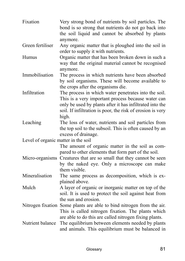| Fixation                            | Very strong bond of nutrients by soil particles. The<br>bond is so strong that nutrients do not go back into<br>the soil liquid and cannot be absorbed by plants<br>anymore.                                                                  |
|-------------------------------------|-----------------------------------------------------------------------------------------------------------------------------------------------------------------------------------------------------------------------------------------------|
| Green fertiliser                    | Any organic matter that is ploughed into the soil in<br>order to supply it with nutrients.                                                                                                                                                    |
| Humus                               | Organic matter that has been broken down in such a<br>way that the original material cannot be recognised<br>anymore.                                                                                                                         |
| Immobilisation                      | The process in which nutrients have been absorbed<br>by soil organisms. These will become available to<br>the crops after the organisms die.                                                                                                  |
| Infiltration                        | The process in which water penetrates into the soil.<br>This is a very important process because water can<br>only be used by plants after it has infiltrated into the<br>soil. If infiltration is poor, the risk of erosion is very<br>high. |
| Leaching                            | The loss of water, nutrients and soil particles from<br>the top soil to the subsoil. This is often caused by an<br>excess of drainage.                                                                                                        |
| Level of organic matter in the soil |                                                                                                                                                                                                                                               |
|                                     | The amount of organic matter in the soil as com-<br>pared to other elements that form part of the soil.                                                                                                                                       |
| Micro-organisms                     | Creatures that are so small that they cannot be seen<br>by the naked eye. Only a microscope can make<br>them visible.                                                                                                                         |
| Mineralisation                      | The same process as decomposition, which is ex-<br>plained above.                                                                                                                                                                             |
| Mulch                               | A layer of organic or inorganic matter on top of the<br>soil. It is used to protect the soil against heat from<br>the sun and erosion.                                                                                                        |
|                                     | Nitrogen fixation Some plants are able to bind nitrogen from the air.<br>This is called nitrogen fixation. The plants which<br>are able to do this are called nitrogen fixing plants.                                                         |
| Nutrient balance                    | The equilibrium between elements needed by plants<br>and animals. This equilibrium must be balanced in                                                                                                                                        |